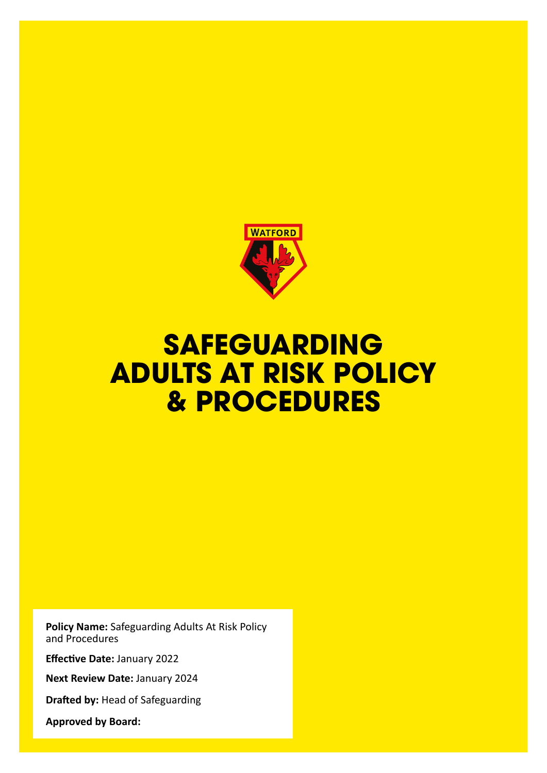

## **SAFEGUARDING ADULTS AT RISK POLICY & PROCEDURES**

**Policy Name:** Safeguarding Adults At Risk Policy and Procedures

**Effective Date:** January 2022

**Next Review Date:** January 2024

**Drafted by:** Head of Safeguarding

**Approved by Board:**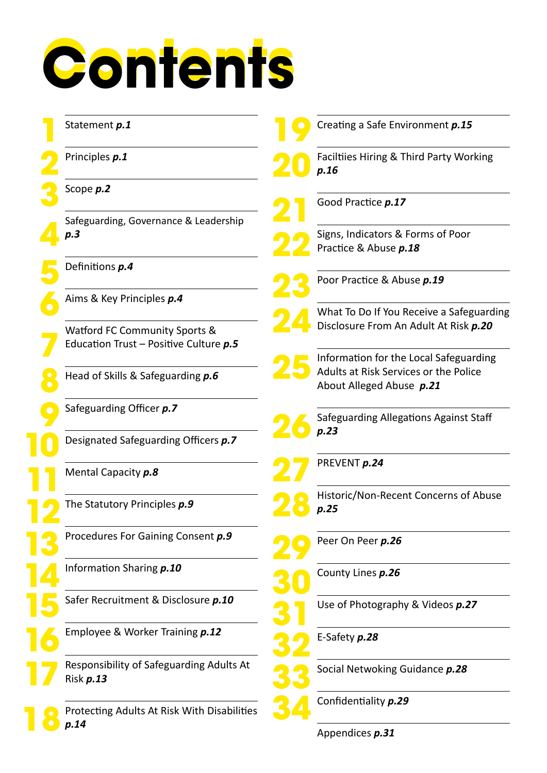## **Contents Contents**

| Statement p.1                                         | Creating a Safe Environment p.15                                                  |
|-------------------------------------------------------|-----------------------------------------------------------------------------------|
| Principles p.1                                        | Faciltiies Hiring & Third Party Working<br>p.16                                   |
| Scope p.2                                             |                                                                                   |
| Safeguarding, Governance & Leadership                 | Good Practice <b>p.17</b>                                                         |
| p.3                                                   | Signs, Indicators & Forms of Poor<br>Practice & Abuse p.18                        |
| Definitions p.4                                       | Poor Practice & Abuse p.19                                                        |
| Aims & Key Principles p.4                             |                                                                                   |
| Watford FC Community Sports &                         | What To Do If You Receive a Safeguarding<br>Disclosure From An Adult At Risk p.20 |
| Education Trust - Positive Culture p.5                | Information for the Local Safeguarding                                            |
| Head of Skills & Safeguarding p.6                     | Adults at Risk Services or the Police<br>About Alleged Abuse p.21                 |
| Safeguarding Officer p.7                              | Safeguarding Allegations Against Staff                                            |
| Designated Safeguarding Officers p.7                  | p.23                                                                              |
| Mental Capacity p.8                                   | PREVENT p.24                                                                      |
| The Statutory Principles p.9                          | Historic/Non-Recent Concerns of Abuse<br>p.25                                     |
| Procedures For Gaining Consent p.9                    | Peer On Peer p.26                                                                 |
| Information Sharing p.10                              | County Lines p.26                                                                 |
| Safer Recruitment & Disclosure p.10                   | Use of Photography & Videos p.27                                                  |
| Employee & Worker Training p.12                       | E-Safety p.28                                                                     |
| Responsibility of Safeguarding Adults At<br>Risk p.13 | Social Netwoking Guidance p.28                                                    |
| Protecting Adults At Risk With Disabilities           | Confidentiality p.29                                                              |
| p.14                                                  | Appendices p.31                                                                   |

Appendices *p.31*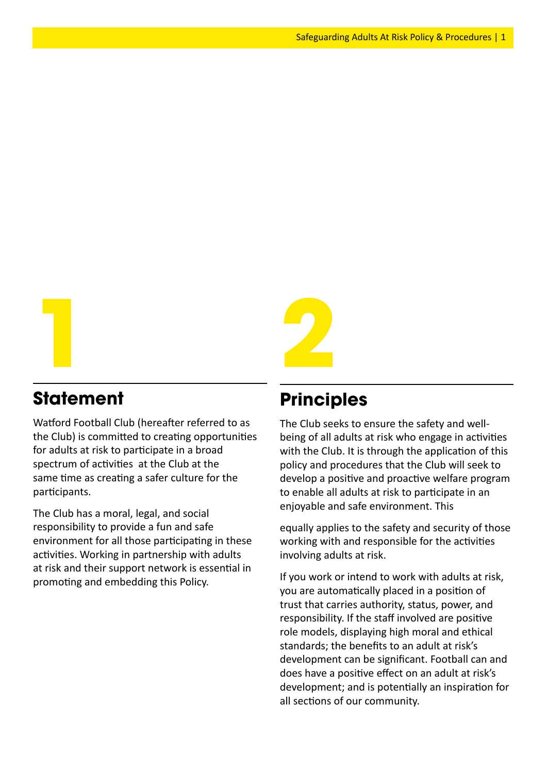

## **Statement**

Watford Football Club (hereafter referred to as the Club) is committed to creating opportunities for adults at risk to participate in a broad spectrum of activities at the Club at the same time as creating a safer culture for the participants.

The Club has a moral, legal, and social responsibility to provide a fun and safe environment for all those participating in these activities. Working in partnership with adults at risk and their support network is essential in promoting and embedding this Policy.

## **Principles**

The Club seeks to ensure the safety and wellbeing of all adults at risk who engage in activities with the Club. It is through the application of this policy and procedures that the Club will seek to develop a positive and proactive welfare program to enable all adults at risk to participate in an enjoyable and safe environment. This

equally applies to the safety and security of those working with and responsible for the activities involving adults at risk.

If you work or intend to work with adults at risk, you are automatically placed in a position of trust that carries authority, status, power, and responsibility. If the staff involved are positive role models, displaying high moral and ethical standards; the benefits to an adult at risk's development can be significant. Football can and does have a positive effect on an adult at risk's development; and is potentially an inspiration for all sections of our community.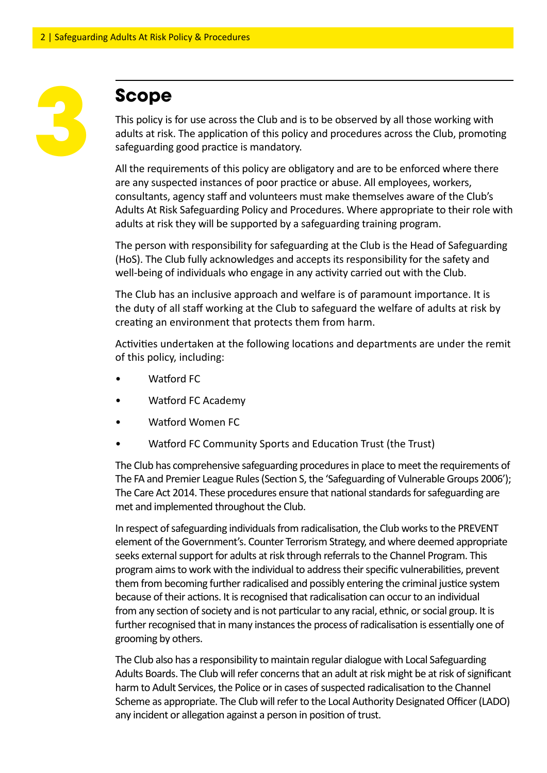## **Scope**

This policy is for use across the Club and is to be observed by all those working with adults at risk. The application of this policy and procedures across the Club, promoting safeguarding good practice is mandatory.

All the requirements of this policy are obligatory and are to be enforced where there are any suspected instances of poor practice or abuse. All employees, workers, consultants, agency staff and volunteers must make themselves aware of the Club's Adults At Risk Safeguarding Policy and Procedures. Where appropriate to their role with adults at risk they will be supported by a safeguarding training program.

The person with responsibility for safeguarding at the Club is the Head of Safeguarding (HoS). The Club fully acknowledges and accepts its responsibility for the safety and well-being of individuals who engage in any activity carried out with the Club.

The Club has an inclusive approach and welfare is of paramount importance. It is the duty of all staff working at the Club to safeguard the welfare of adults at risk by creating an environment that protects them from harm.

Activities undertaken at the following locations and departments are under the remit of this policy, including:

- Watford FC
- Watford FC Academy
- Watford Women FC
- Watford FC Community Sports and Education Trust (the Trust)

The Club has comprehensive safeguarding procedures in place to meet the requirements of The FA and Premier League Rules (Section S, the 'Safeguarding of Vulnerable Groups 2006'); The Care Act 2014. These procedures ensure that national standards for safeguarding are met and implemented throughout the Club.

In respect of safeguarding individuals from radicalisation, the Club works to the PREVENT element of the Government's. Counter Terrorism Strategy, and where deemed appropriate seeks external support for adults at risk through referrals to the Channel Program. This program aims to work with the individual to address their specific vulnerabilities, prevent them from becoming further radicalised and possibly entering the criminal justice system because of their actions. It is recognised that radicalisation can occur to an individual from any section of society and is not particular to any racial, ethnic, or social group. It is further recognised that in many instances the process of radicalisation is essentially one of grooming by others.

The Club also has a responsibility to maintain regular dialogue with Local Safeguarding Adults Boards. The Club will refer concerns that an adult at risk might be at risk of significant harm to Adult Services, the Police or in cases of suspected radicalisation to the Channel Scheme as appropriate. The Club will refer to the Local Authority Designated Officer (LADO) any incident or allegation against a person in position of trust.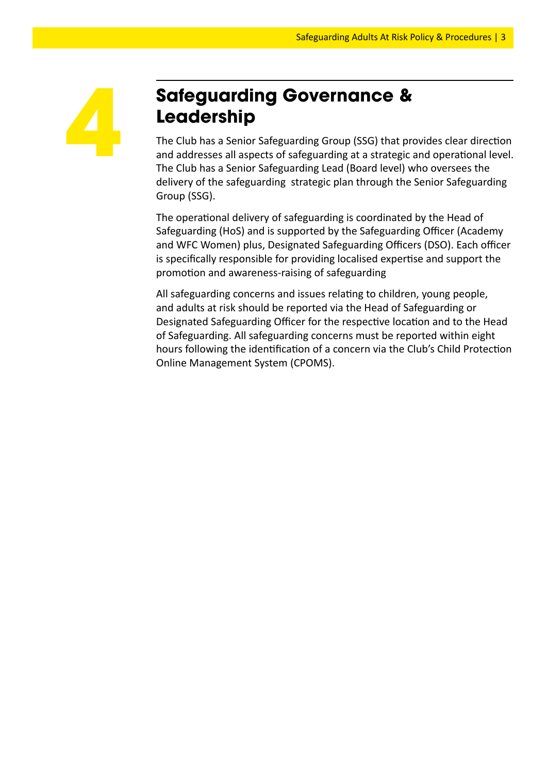

## **Safeguarding Governance & Leadership**

The Club has a Senior Safeguarding Group (SSG) that provides clear direction and addresses all aspects of safeguarding at a strategic and operational level. The Club has a Senior Safeguarding Lead (Board level) who oversees the delivery of the safeguarding strategic plan through the Senior Safeguarding Group (SSG).

The operational delivery of safeguarding is coordinated by the Head of Safeguarding (HoS) and is supported by the Safeguarding Officer (Academy and WFC Women) plus, Designated Safeguarding Officers (DSO). Each officer is specifically responsible for providing localised expertise and support the promotion and awareness-raising of safeguarding

All safeguarding concerns and issues relating to children, young people, and adults at risk should be reported via the Head of Safeguarding or Designated Safeguarding Officer for the respective location and to the Head of Safeguarding. All safeguarding concerns must be reported within eight hours following the identification of a concern via the Club's Child Protection Online Management System (CPOMS).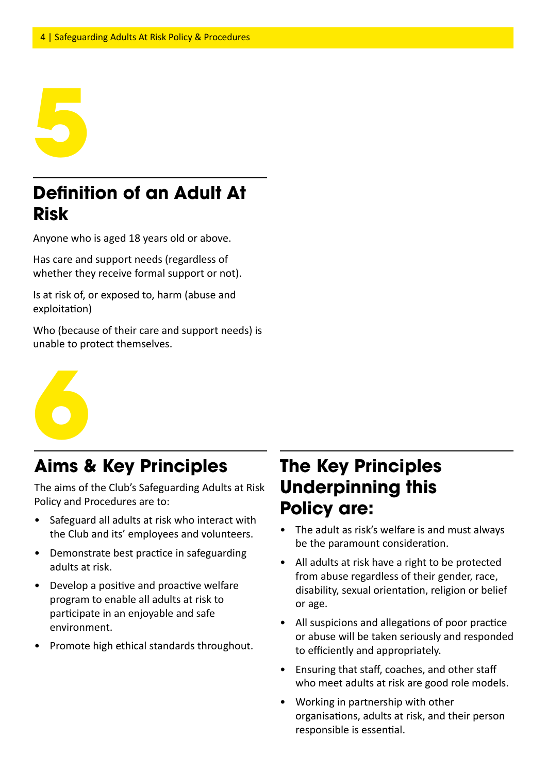

## **Definition of an Adult At Risk**

Anyone who is aged 18 years old or above.

Has care and support needs (regardless of whether they receive formal support or not).

Is at risk of, or exposed to, harm (abuse and exploitation)

Who (because of their care and support needs) is unable to protect themselves.



## **Aims & Key Principles**

The aims of the Club's Safeguarding Adults at Risk Policy and Procedures are to:

- Safeguard all adults at risk who interact with the Club and its' employees and volunteers.
- Demonstrate best practice in safeguarding adults at risk.
- Develop a positive and proactive welfare program to enable all adults at risk to participate in an enjoyable and safe environment.
- Promote high ethical standards throughout.

## **The Key Principles Underpinning this Policy are:**

- The adult as risk's welfare is and must always be the paramount consideration.
- All adults at risk have a right to be protected from abuse regardless of their gender, race, disability, sexual orientation, religion or belief or age.
- All suspicions and allegations of poor practice or abuse will be taken seriously and responded to efficiently and appropriately.
- Ensuring that staff, coaches, and other staff who meet adults at risk are good role models.
- Working in partnership with other organisations, adults at risk, and their person responsible is essential.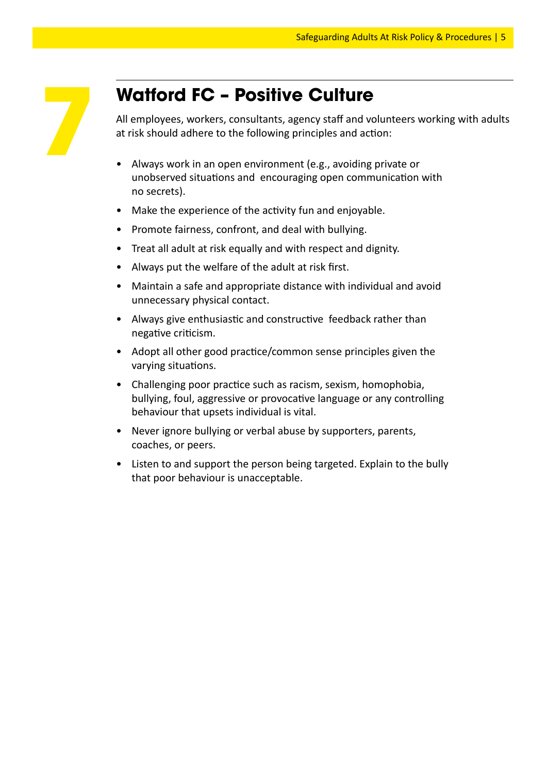## **Watford FC – Positive Culture**

All employees, workers, consultants, agency staff and volunteers working with adults at risk should adhere to the following principles and action:

- Always work in an open environment (e.g., avoiding private or unobserved situations and encouraging open communication with no secrets).
- Make the experience of the activity fun and enjoyable.
- Promote fairness, confront, and deal with bullying.
- Treat all adult at risk equally and with respect and dignity.
- Always put the welfare of the adult at risk first.
- Maintain a safe and appropriate distance with individual and avoid unnecessary physical contact.
- Always give enthusiastic and constructive feedback rather than negative criticism.
- Adopt all other good practice/common sense principles given the varying situations.
- Challenging poor practice such as racism, sexism, homophobia, bullying, foul, aggressive or provocative language or any controlling behaviour that upsets individual is vital.
- Never ignore bullying or verbal abuse by supporters, parents, coaches, or peers.
- Listen to and support the person being targeted. Explain to the bully that poor behaviour is unacceptable.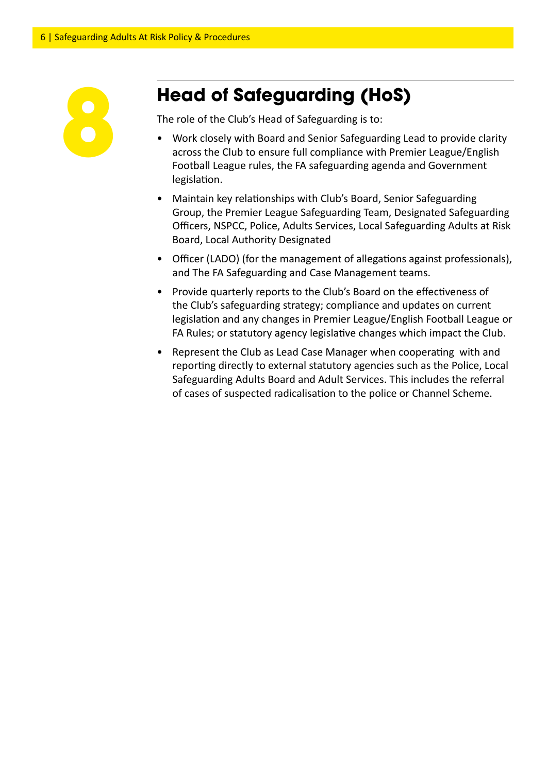

## **Head of Safeguarding (HoS)**

The role of the Club's Head of Safeguarding is to:

- Work closely with Board and Senior Safeguarding Lead to provide clarity across the Club to ensure full compliance with Premier League/English Football League rules, the FA safeguarding agenda and Government legislation.
- Maintain key relationships with Club's Board, Senior Safeguarding Group, the Premier League Safeguarding Team, Designated Safeguarding Officers, NSPCC, Police, Adults Services, Local Safeguarding Adults at Risk Board, Local Authority Designated
- Officer (LADO) (for the management of allegations against professionals), and The FA Safeguarding and Case Management teams.
- Provide quarterly reports to the Club's Board on the effectiveness of the Club's safeguarding strategy; compliance and updates on current legislation and any changes in Premier League/English Football League or FA Rules; or statutory agency legislative changes which impact the Club.
- Represent the Club as Lead Case Manager when cooperating with and reporting directly to external statutory agencies such as the Police, Local Safeguarding Adults Board and Adult Services. This includes the referral of cases of suspected radicalisation to the police or Channel Scheme.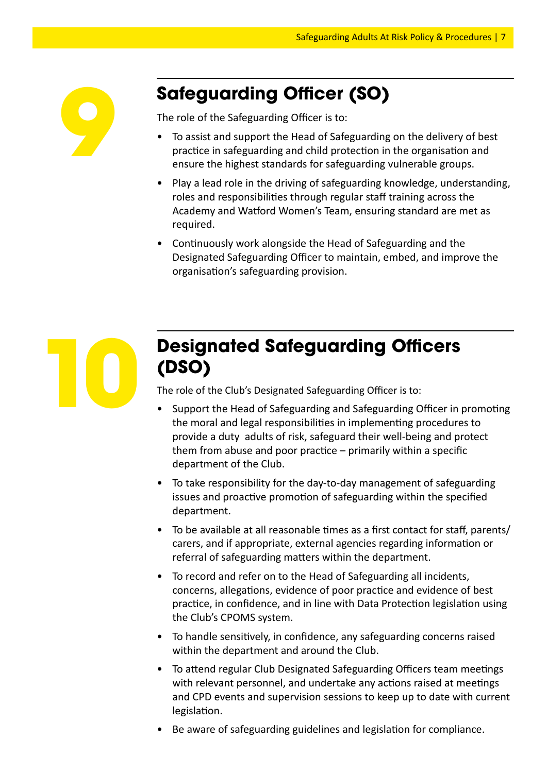

## **Safeguarding Officer (SO)**

The role of the Safeguarding Officer is to:

- To assist and support the Head of Safeguarding on the delivery of best practice in safeguarding and child protection in the organisation and ensure the highest standards for safeguarding vulnerable groups.
- Play a lead role in the driving of safeguarding knowledge, understanding, roles and responsibilities through regular staff training across the Academy and Watford Women's Team, ensuring standard are met as required.
- Continuously work alongside the Head of Safeguarding and the Designated Safeguarding Officer to maintain, embed, and improve the organisation's safeguarding provision.



## **Designated Safeguarding Officers (DSO)**

The role of the Club's Designated Safeguarding Officer is to:

- Support the Head of Safeguarding and Safeguarding Officer in promoting the moral and legal responsibilities in implementing procedures to provide a duty adults of risk, safeguard their well-being and protect them from abuse and poor practice – primarily within a specific department of the Club.
- To take responsibility for the day-to-day management of safeguarding issues and proactive promotion of safeguarding within the specified department.
- To be available at all reasonable times as a first contact for staff, parents/ carers, and if appropriate, external agencies regarding information or referral of safeguarding matters within the department.
- To record and refer on to the Head of Safeguarding all incidents, concerns, allegations, evidence of poor practice and evidence of best practice, in confidence, and in line with Data Protection legislation using the Club's CPOMS system.
- To handle sensitively, in confidence, any safeguarding concerns raised within the department and around the Club.
- To attend regular Club Designated Safeguarding Officers team meetings with relevant personnel, and undertake any actions raised at meetings and CPD events and supervision sessions to keep up to date with current legislation.
- Be aware of safeguarding guidelines and legislation for compliance.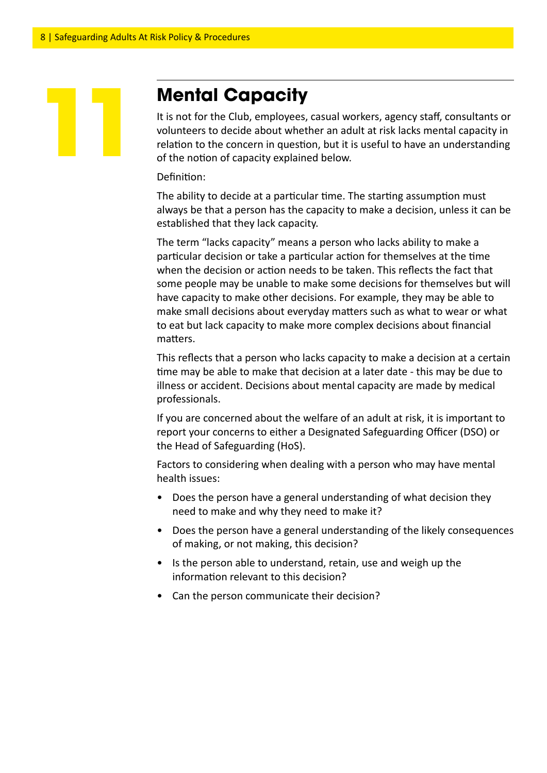## **Mental Capacity**

It is not for the Club, employees, casual workers, agency staff, consultants or volunteers to decide about whether an adult at risk lacks mental capacity in relation to the concern in question, but it is useful to have an understanding of the notion of capacity explained below.

Definition:

The ability to decide at a particular time. The starting assumption must always be that a person has the capacity to make a decision, unless it can be established that they lack capacity.

The term "lacks capacity" means a person who lacks ability to make a particular decision or take a particular action for themselves at the time when the decision or action needs to be taken. This reflects the fact that some people may be unable to make some decisions for themselves but will have capacity to make other decisions. For example, they may be able to make small decisions about everyday matters such as what to wear or what to eat but lack capacity to make more complex decisions about financial matters.

This reflects that a person who lacks capacity to make a decision at a certain time may be able to make that decision at a later date - this may be due to illness or accident. Decisions about mental capacity are made by medical professionals.

If you are concerned about the welfare of an adult at risk, it is important to report your concerns to either a Designated Safeguarding Officer (DSO) or the Head of Safeguarding (HoS).

Factors to considering when dealing with a person who may have mental health issues:

- Does the person have a general understanding of what decision they need to make and why they need to make it?
- Does the person have a general understanding of the likely consequences of making, or not making, this decision?
- Is the person able to understand, retain, use and weigh up the information relevant to this decision?
- Can the person communicate their decision?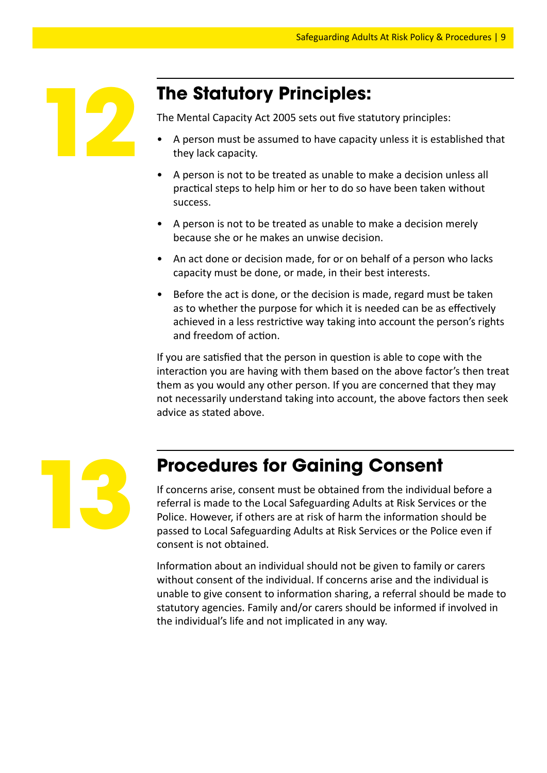

## **The Statutory Principles:**

The Mental Capacity Act 2005 sets out five statutory principles:

- A person must be assumed to have capacity unless it is established that they lack capacity.
- A person is not to be treated as unable to make a decision unless all practical steps to help him or her to do so have been taken without success.
- A person is not to be treated as unable to make a decision merely because she or he makes an unwise decision.
- An act done or decision made, for or on behalf of a person who lacks capacity must be done, or made, in their best interests.
- Before the act is done, or the decision is made, regard must be taken as to whether the purpose for which it is needed can be as effectively achieved in a less restrictive way taking into account the person's rights and freedom of action.

If you are satisfied that the person in question is able to cope with the interaction you are having with them based on the above factor's then treat them as you would any other person. If you are concerned that they may not necessarily understand taking into account, the above factors then seek advice as stated above.



## **Procedures for Gaining Consent**

If concerns arise, consent must be obtained from the individual before a referral is made to the Local Safeguarding Adults at Risk Services or the Police. However, if others are at risk of harm the information should be passed to Local Safeguarding Adults at Risk Services or the Police even if consent is not obtained.

Information about an individual should not be given to family or carers without consent of the individual. If concerns arise and the individual is unable to give consent to information sharing, a referral should be made to statutory agencies. Family and/or carers should be informed if involved in the individual's life and not implicated in any way.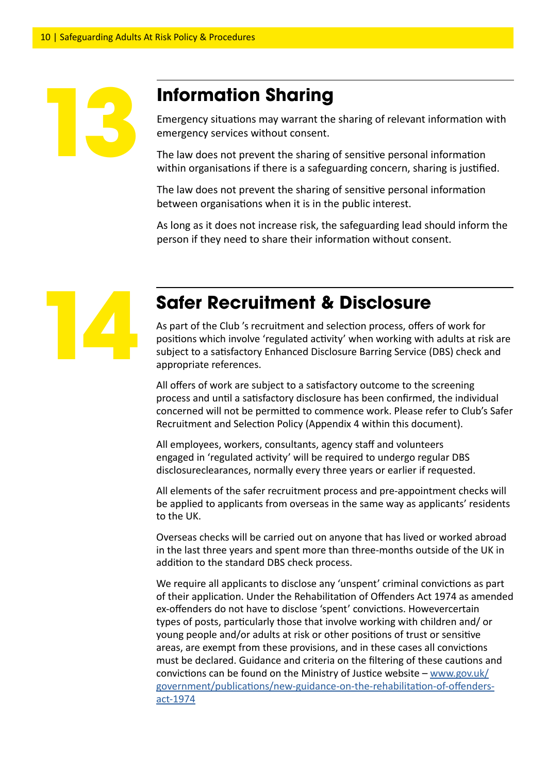#### **Information Sharing**

Emergency situations may warrant the sharing of relevant information with emergency services without consent.

The law does not prevent the sharing of sensitive personal information within organisations if there is a safeguarding concern, sharing is justified.

The law does not prevent the sharing of sensitive personal information between organisations when it is in the public interest.

As long as it does not increase risk, the safeguarding lead should inform the person if they need to share their information without consent.



## **Safer Recruitment & Disclosure**

As part of the Club 's recruitment and selection process, offers of work for positions which involve 'regulated activity' when working with adults at risk are subject to a satisfactory Enhanced Disclosure Barring Service (DBS) check and appropriate references.

All offers of work are subject to a satisfactory outcome to the screening process and until a satisfactory disclosure has been confirmed, the individual concerned will not be permitted to commence work. Please refer to Club's Safer Recruitment and Selection Policy (Appendix 4 within this document).

All employees, workers, consultants, agency staff and volunteers engaged in 'regulated activity' will be required to undergo regular DBS disclosureclearances, normally every three years or earlier if requested.

All elements of the safer recruitment process and pre-appointment checks will be applied to applicants from overseas in the same way as applicants' residents to the UK.

Overseas checks will be carried out on anyone that has lived or worked abroad in the last three years and spent more than three-months outside of the UK in addition to the standard DBS check process.

We require all applicants to disclose any 'unspent' criminal convictions as part of their application. Under the Rehabilitation of Offenders Act 1974 as amended ex-offenders do not have to disclose 'spent' convictions. Howevercertain types of posts, particularly those that involve working with children and/ or young people and/or adults at risk or other positions of trust or sensitive areas, are exempt from these provisions, and in these cases all convictions must be declared. Guidance and criteria on the filtering of these cautions and convictions can be found on the Ministry of Justice website –  $www.gov.uk/$ government/publications/new-guidance-on-the-rehabilitation-of-offendersact-1974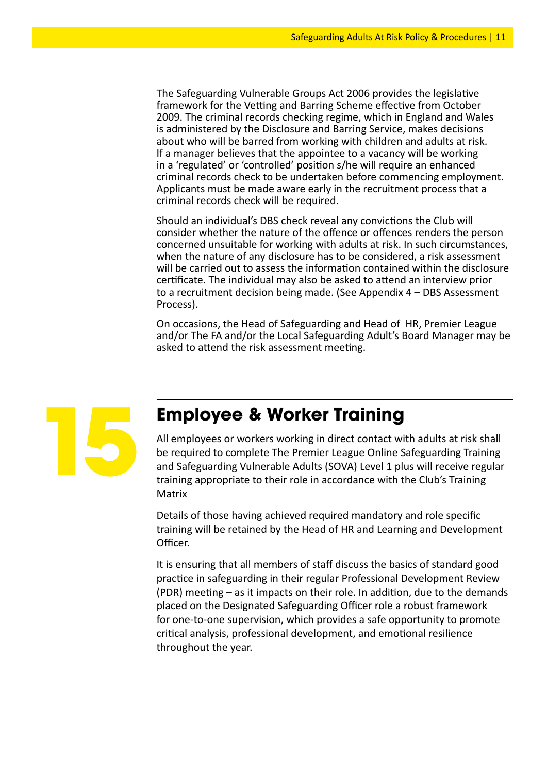The Safeguarding Vulnerable Groups Act 2006 provides the legislative framework for the Vetting and Barring Scheme effective from October 2009. The criminal records checking regime, which in England and Wales is administered by the Disclosure and Barring Service, makes decisions about who will be barred from working with children and adults at risk. If a manager believes that the appointee to a vacancy will be working in a 'regulated' or 'controlled' position s/he will require an enhanced criminal records check to be undertaken before commencing employment. Applicants must be made aware early in the recruitment process that a criminal records check will be required.

Should an individual's DBS check reveal any convictions the Club will consider whether the nature of the offence or offences renders the person concerned unsuitable for working with adults at risk. In such circumstances, when the nature of any disclosure has to be considered, a risk assessment will be carried out to assess the information contained within the disclosure certificate. The individual may also be asked to attend an interview prior to a recruitment decision being made. (See Appendix 4 – DBS Assessment Process).

On occasions, the Head of Safeguarding and Head of HR, Premier League and/or The FA and/or the Local Safeguarding Adult's Board Manager may be asked to attend the risk assessment meeting.



#### **Employee & Worker Training**

All employees or workers working in direct contact with adults at risk shall be required to complete The Premier League Online Safeguarding Training and Safeguarding Vulnerable Adults (SOVA) Level 1 plus will receive regular training appropriate to their role in accordance with the Club's Training **Matrix** 

Details of those having achieved required mandatory and role specific training will be retained by the Head of HR and Learning and Development Officer.

It is ensuring that all members of staff discuss the basics of standard good practice in safeguarding in their regular Professional Development Review (PDR) meeting – as it impacts on their role. In addition, due to the demands placed on the Designated Safeguarding Officer role a robust framework for one-to-one supervision, which provides a safe opportunity to promote critical analysis, professional development, and emotional resilience throughout the year.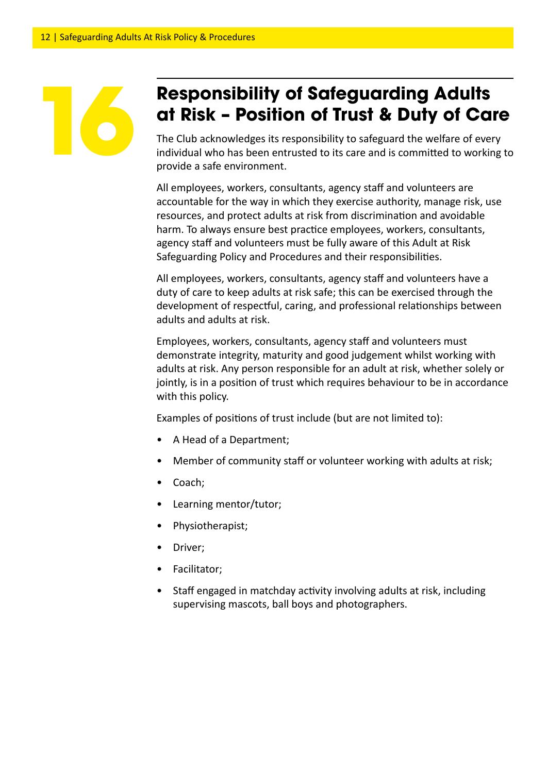## **168 <b>Responsibility of Safeguarding Adults**<br>**166 <b>Risk – Position of Trust & Duty of Ca**<br>The Club acknowledges its responsibility to safeguard the welfare of ever<br>individual who has been entrusted to its care and is commi **at Risk – Position of Trust & Duty of Care**

The Club acknowledges its responsibility to safeguard the welfare of every individual who has been entrusted to its care and is committed to working to provide a safe environment.

All employees, workers, consultants, agency staff and volunteers are accountable for the way in which they exercise authority, manage risk, use resources, and protect adults at risk from discrimination and avoidable harm. To always ensure best practice employees, workers, consultants, agency staff and volunteers must be fully aware of this Adult at Risk Safeguarding Policy and Procedures and their responsibilities.

All employees, workers, consultants, agency staff and volunteers have a duty of care to keep adults at risk safe; this can be exercised through the development of respectful, caring, and professional relationships between adults and adults at risk.

Employees, workers, consultants, agency staff and volunteers must demonstrate integrity, maturity and good judgement whilst working with adults at risk. Any person responsible for an adult at risk, whether solely or jointly, is in a position of trust which requires behaviour to be in accordance with this policy.

Examples of positions of trust include (but are not limited to):

- A Head of a Department;
- Member of community staff or volunteer working with adults at risk;
- Coach;
- Learning mentor/tutor;
- Physiotherapist;
- Driver;
- Facilitator;
- Staff engaged in matchday activity involving adults at risk, including supervising mascots, ball boys and photographers.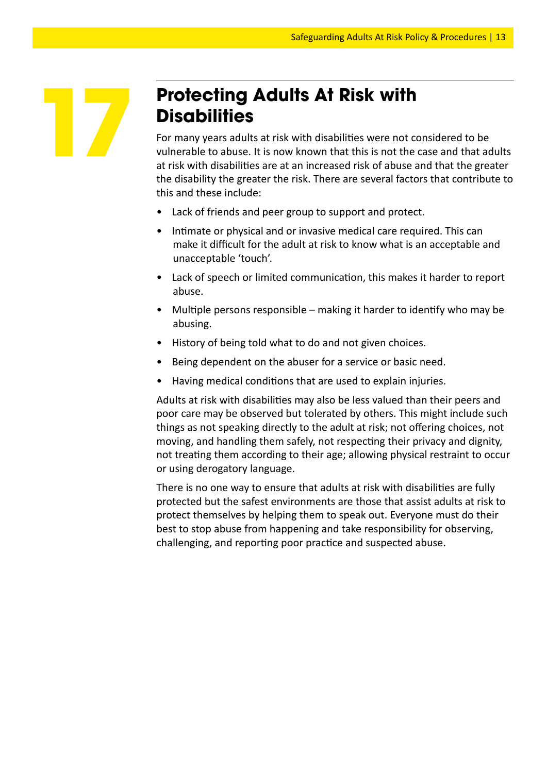

## **Protecting Adults At Risk with Disabilities**

For many years adults at risk with disabilities were not considered to be vulnerable to abuse. It is now known that this is not the case and that adults at risk with disabilities are at an increased risk of abuse and that the greater the disability the greater the risk. There are several factors that contribute to this and these include:

- Lack of friends and peer group to support and protect.
- Intimate or physical and or invasive medical care required. This can make it difficult for the adult at risk to know what is an acceptable and unacceptable 'touch'.
- Lack of speech or limited communication, this makes it harder to report abuse.
- Multiple persons responsible making it harder to identify who may be abusing.
- History of being told what to do and not given choices.
- Being dependent on the abuser for a service or basic need.
- Having medical conditions that are used to explain injuries.

Adults at risk with disabilities may also be less valued than their peers and poor care may be observed but tolerated by others. This might include such things as not speaking directly to the adult at risk; not offering choices, not moving, and handling them safely, not respecting their privacy and dignity, not treating them according to their age; allowing physical restraint to occur or using derogatory language.

There is no one way to ensure that adults at risk with disabilities are fully protected but the safest environments are those that assist adults at risk to protect themselves by helping them to speak out. Everyone must do their best to stop abuse from happening and take responsibility for observing, challenging, and reporting poor practice and suspected abuse.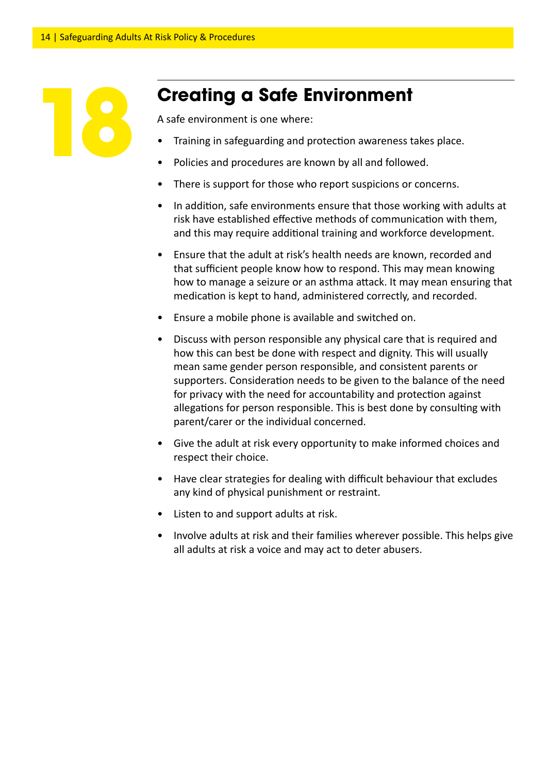

## **Creating a Safe Environment**

A safe environment is one where:

- Training in safeguarding and protection awareness takes place.
- Policies and procedures are known by all and followed.
- There is support for those who report suspicions or concerns.
- In addition, safe environments ensure that those working with adults at risk have established effective methods of communication with them, and this may require additional training and workforce development.
- Ensure that the adult at risk's health needs are known, recorded and that sufficient people know how to respond. This may mean knowing how to manage a seizure or an asthma attack. It may mean ensuring that medication is kept to hand, administered correctly, and recorded.
- Ensure a mobile phone is available and switched on.
- Discuss with person responsible any physical care that is required and how this can best be done with respect and dignity. This will usually mean same gender person responsible, and consistent parents or supporters. Consideration needs to be given to the balance of the need for privacy with the need for accountability and protection against allegations for person responsible. This is best done by consulting with parent/carer or the individual concerned.
- Give the adult at risk every opportunity to make informed choices and respect their choice.
- Have clear strategies for dealing with difficult behaviour that excludes any kind of physical punishment or restraint.
- Listen to and support adults at risk.
- Involve adults at risk and their families wherever possible. This helps give all adults at risk a voice and may act to deter abusers.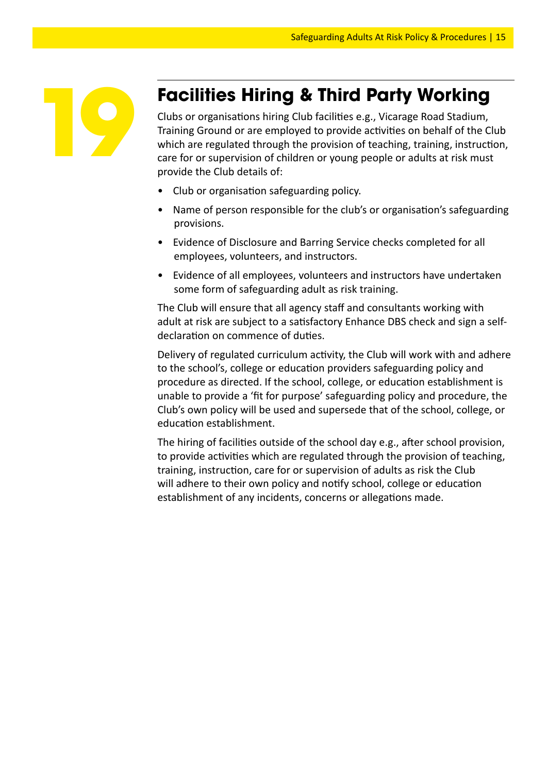

## **Facilities Hiring & Third Party Working**

Clubs or organisations hiring Club facilities e.g., Vicarage Road Stadium, Training Ground or are employed to provide activities on behalf of the Club which are regulated through the provision of teaching, training, instruction, care for or supervision of children or young people or adults at risk must provide the Club details of:

- Club or organisation safeguarding policy.
- Name of person responsible for the club's or organisation's safeguarding provisions.
- Evidence of Disclosure and Barring Service checks completed for all employees, volunteers, and instructors.
- Evidence of all employees, volunteers and instructors have undertaken some form of safeguarding adult as risk training.

The Club will ensure that all agency staff and consultants working with adult at risk are subject to a satisfactory Enhance DBS check and sign a selfdeclaration on commence of duties.

Delivery of regulated curriculum activity, the Club will work with and adhere to the school's, college or education providers safeguarding policy and procedure as directed. If the school, college, or education establishment is unable to provide a 'fit for purpose' safeguarding policy and procedure, the Club's own policy will be used and supersede that of the school, college, or education establishment.

The hiring of facilities outside of the school day e.g., after school provision, to provide activities which are regulated through the provision of teaching, training, instruction, care for or supervision of adults as risk the Club will adhere to their own policy and notify school, college or education establishment of any incidents, concerns or allegations made.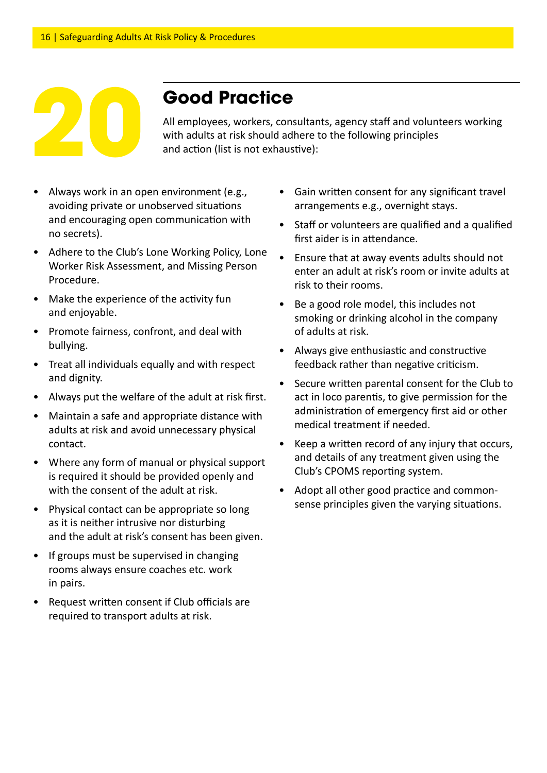

## **Good Practice**

All employees, workers, consultants, agency staff and volunteers working **2000 Practice**<br>All employees, workers, consultants, agency staff and volunt<br>with adults at risk should adhere to the following principles<br>and action (list is not exhaustive):

- Always work in an open environment (e.g., avoiding private or unobserved situations and encouraging open communication with no secrets).
- Adhere to the Club's Lone Working Policy, Lone Worker Risk Assessment, and Missing Person Procedure.
- Make the experience of the activity fun and enjoyable.
- Promote fairness, confront, and deal with bullying.
- Treat all individuals equally and with respect and dignity.
- Always put the welfare of the adult at risk first.
- Maintain a safe and appropriate distance with adults at risk and avoid unnecessary physical contact.
- Where any form of manual or physical support is required it should be provided openly and with the consent of the adult at risk.
- Physical contact can be appropriate so long as it is neither intrusive nor disturbing and the adult at risk's consent has been given.
- If groups must be supervised in changing rooms always ensure coaches etc. work in pairs.
- Request written consent if Club officials are required to transport adults at risk.
- Gain written consent for any significant travel arrangements e.g., overnight stays.
- Staff or volunteers are qualified and a qualified first aider is in attendance.
- Ensure that at away events adults should not enter an adult at risk's room or invite adults at risk to their rooms.
- Be a good role model, this includes not smoking or drinking alcohol in the company of adults at risk.
- Always give enthusiastic and constructive feedback rather than negative criticism.
- Secure written parental consent for the Club to act in loco parentis, to give permission for the administration of emergency first aid or other medical treatment if needed.
- Keep a written record of any injury that occurs, and details of any treatment given using the Club's CPOMS reporting system.
- Adopt all other good practice and commonsense principles given the varying situations.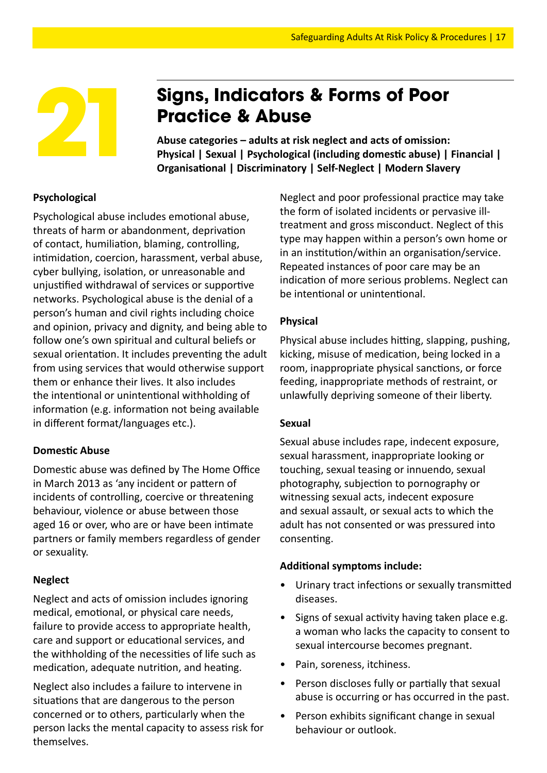

## **Practice & Abuse**

Signs, Indicators & Forms of Poor<br>
Practice & Abuse<br>
Abuse categories – adults at risk neglect and acts of omission:<br>
Physical | Sexual | Psychological (including domestic abuse) | Financial |<br>
Organisational | Discriminat **Abuse categories – adults at risk neglect and acts of omission: Organisational | Discriminatory | Self-Neglect | Modern Slavery**

#### **Psychological**

Psychological abuse includes emotional abuse, threats of harm or abandonment, deprivation of contact, humiliation, blaming, controlling, intimidation, coercion, harassment, verbal abuse, cyber bullying, isolation, or unreasonable and unjustified withdrawal of services or supportive networks. Psychological abuse is the denial of a person's human and civil rights including choice and opinion, privacy and dignity, and being able to follow one's own spiritual and cultural beliefs or sexual orientation. It includes preventing the adult from using services that would otherwise support them or enhance their lives. It also includes the intentional or unintentional withholding of information (e.g. information not being available in different format/languages etc.).

#### **Domestic Abuse**

Domestic abuse was defined by The Home Office in March 2013 as 'any incident or pattern of incidents of controlling, coercive or threatening behaviour, violence or abuse between those aged 16 or over, who are or have been intimate partners or family members regardless of gender or sexuality.

#### **Neglect**

Neglect and acts of omission includes ignoring medical, emotional, or physical care needs, failure to provide access to appropriate health, care and support or educational services, and the withholding of the necessities of life such as medication, adequate nutrition, and heating.

Neglect also includes a failure to intervene in situations that are dangerous to the person concerned or to others, particularly when the person lacks the mental capacity to assess risk for themselves.

Neglect and poor professional practice may take the form of isolated incidents or pervasive illtreatment and gross misconduct. Neglect of this type may happen within a person's own home or in an institution/within an organisation/service. Repeated instances of poor care may be an indication of more serious problems. Neglect can be intentional or unintentional.

#### **Physical**

Physical abuse includes hitting, slapping, pushing, kicking, misuse of medication, being locked in a room, inappropriate physical sanctions, or force feeding, inappropriate methods of restraint, or unlawfully depriving someone of their liberty.

#### **Sexual**

Sexual abuse includes rape, indecent exposure, sexual harassment, inappropriate looking or touching, sexual teasing or innuendo, sexual photography, subjection to pornography or witnessing sexual acts, indecent exposure and sexual assault, or sexual acts to which the adult has not consented or was pressured into consenting.

#### **Additional symptoms include:**

- Urinary tract infections or sexually transmitted diseases.
- Signs of sexual activity having taken place e.g. a woman who lacks the capacity to consent to sexual intercourse becomes pregnant.
- Pain, soreness, itchiness.
- Person discloses fully or partially that sexual abuse is occurring or has occurred in the past.
- Person exhibits significant change in sexual behaviour or outlook.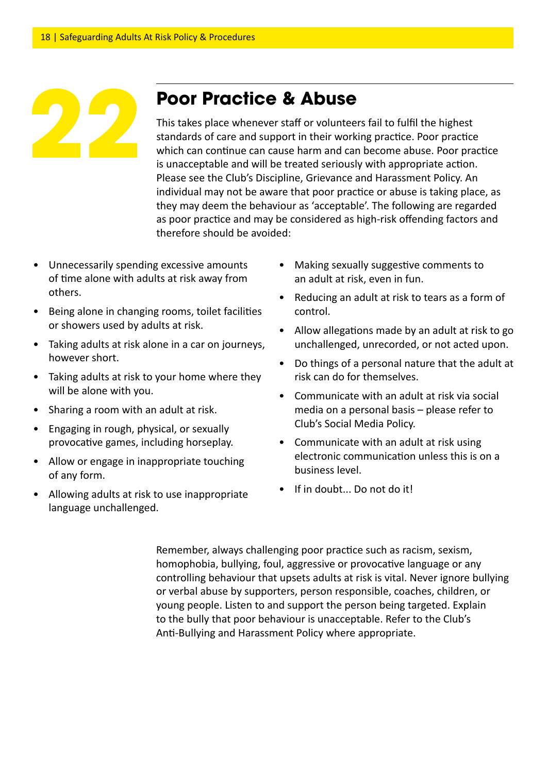## **Poor Practice & Abuse**

This takes place whenever staff or volunteers fail to fulfil the highest standards of care and support in their working practice. Poor practice which can continue can cause harm and can become abuse. Poor practice is unacceptable and will be treated seriously with appropriate action. Please see the Club's Discipline, Grievance and Harassment Policy. An individual may not be aware that poor practice or abuse is taking place, as they may deem the behaviour as 'acceptable'. The following are regarded as poor practice and may be considered as high-risk offending factors and therefore should be avoided:

- Unnecessarily spending excessive amounts of time alone with adults at risk away from others.
- Being alone in changing rooms, toilet facilities or showers used by adults at risk.
- Taking adults at risk alone in a car on journeys, however short.
- Taking adults at risk to your home where they will be alone with you.
- Sharing a room with an adult at risk.
- Engaging in rough, physical, or sexually provocative games, including horseplay.
- Allow or engage in inappropriate touching of any form.
- Allowing adults at risk to use inappropriate language unchallenged.
- Making sexually suggestive comments to an adult at risk, even in fun.
- Reducing an adult at risk to tears as a form of control.
- Allow allegations made by an adult at risk to go unchallenged, unrecorded, or not acted upon.
- Do things of a personal nature that the adult at risk can do for themselves.
- Communicate with an adult at risk via social media on a personal basis – please refer to Club's Social Media Policy.
- Communicate with an adult at risk using electronic communication unless this is on a business level.
- If in doubt... Do not do it!

Remember, always challenging poor practice such as racism, sexism, homophobia, bullying, foul, aggressive or provocative language or any controlling behaviour that upsets adults at risk is vital. Never ignore bullying or verbal abuse by supporters, person responsible, coaches, children, or young people. Listen to and support the person being targeted. Explain to the bully that poor behaviour is unacceptable. Refer to the Club's Anti-Bullying and Harassment Policy where appropriate.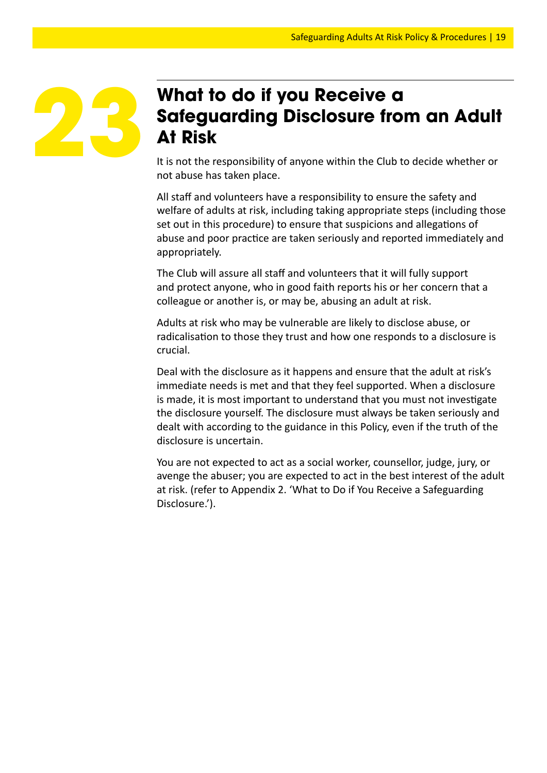## **What to do if you Receive a Safeguarding Disclosure from an Adult At Risk**

It is not the responsibility of anyone within the Club to decide whether or not abuse has taken place.

All staff and volunteers have a responsibility to ensure the safety and welfare of adults at risk, including taking appropriate steps (including those set out in this procedure) to ensure that suspicions and allegations of abuse and poor practice are taken seriously and reported immediately and appropriately.

The Club will assure all staff and volunteers that it will fully support and protect anyone, who in good faith reports his or her concern that a colleague or another is, or may be, abusing an adult at risk.

Adults at risk who may be vulnerable are likely to disclose abuse, or radicalisation to those they trust and how one responds to a disclosure is crucial.

Deal with the disclosure as it happens and ensure that the adult at risk's immediate needs is met and that they feel supported. When a disclosure is made, it is most important to understand that you must not investigate the disclosure yourself. The disclosure must always be taken seriously and dealt with according to the guidance in this Policy, even if the truth of the disclosure is uncertain.

You are not expected to act as a social worker, counsellor, judge, jury, or avenge the abuser; you are expected to act in the best interest of the adult at risk. (refer to Appendix 2. 'What to Do if You Receive a Safeguarding Disclosure.').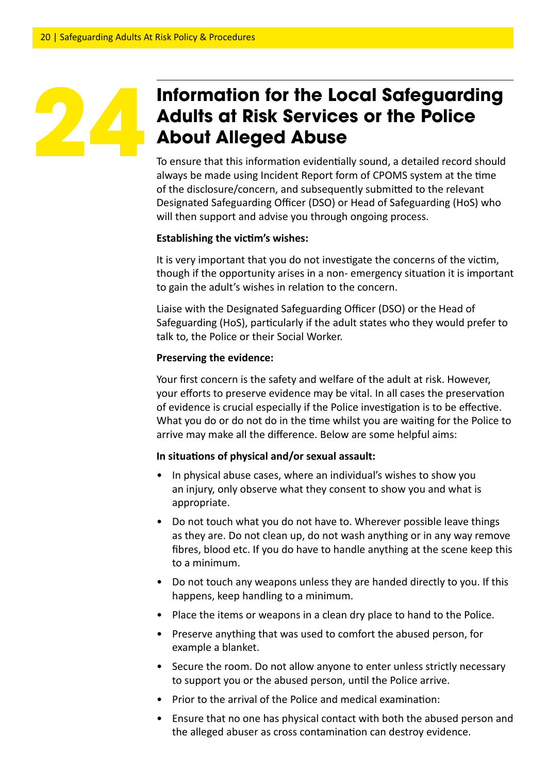## **Information for the Local Safeguarding Adults at Risk Services or the Police About Alleged Abuse**

To ensure that this information evidentially sound, a detailed record should always be made using Incident Report form of CPOMS system at the time of the disclosure/concern, and subsequently submitted to the relevant Designated Safeguarding Officer (DSO) or Head of Safeguarding (HoS) who will then support and advise you through ongoing process.

#### **Establishing the victim's wishes:**

It is very important that you do not investigate the concerns of the victim, though if the opportunity arises in a non- emergency situation it is important to gain the adult's wishes in relation to the concern.

Liaise with the Designated Safeguarding Officer (DSO) or the Head of Safeguarding (HoS), particularly if the adult states who they would prefer to talk to, the Police or their Social Worker.

#### **Preserving the evidence:**

Your first concern is the safety and welfare of the adult at risk. However, your efforts to preserve evidence may be vital. In all cases the preservation of evidence is crucial especially if the Police investigation is to be effective. What you do or do not do in the time whilst you are waiting for the Police to arrive may make all the difference. Below are some helpful aims:

#### **In situations of physical and/or sexual assault:**

- In physical abuse cases, where an individual's wishes to show you an injury, only observe what they consent to show you and what is appropriate.
- Do not touch what you do not have to. Wherever possible leave things as they are. Do not clean up, do not wash anything or in any way remove fibres, blood etc. If you do have to handle anything at the scene keep this to a minimum.
- Do not touch any weapons unless they are handed directly to you. If this happens, keep handling to a minimum.
- Place the items or weapons in a clean dry place to hand to the Police.
- Preserve anything that was used to comfort the abused person, for example a blanket.
- Secure the room. Do not allow anyone to enter unless strictly necessary to support you or the abused person, until the Police arrive.
- Prior to the arrival of the Police and medical examination:
- Ensure that no one has physical contact with both the abused person and the alleged abuser as cross contamination can destroy evidence.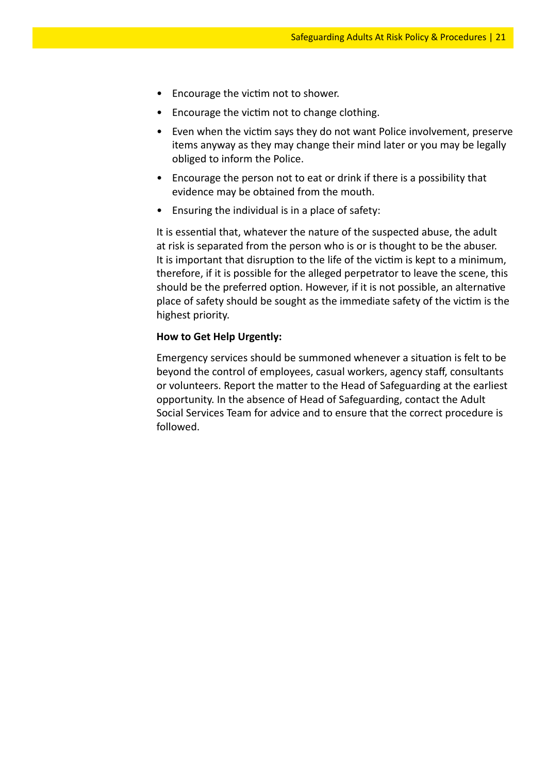- Encourage the victim not to shower.
- Encourage the victim not to change clothing.
- Even when the victim says they do not want Police involvement, preserve items anyway as they may change their mind later or you may be legally obliged to inform the Police.
- Encourage the person not to eat or drink if there is a possibility that evidence may be obtained from the mouth.
- Ensuring the individual is in a place of safety:

It is essential that, whatever the nature of the suspected abuse, the adult at risk is separated from the person who is or is thought to be the abuser. It is important that disruption to the life of the victim is kept to a minimum, therefore, if it is possible for the alleged perpetrator to leave the scene, this should be the preferred option. However, if it is not possible, an alternative place of safety should be sought as the immediate safety of the victim is the highest priority.

#### **How to Get Help Urgently:**

Emergency services should be summoned whenever a situation is felt to be beyond the control of employees, casual workers, agency staff, consultants or volunteers. Report the matter to the Head of Safeguarding at the earliest opportunity. In the absence of Head of Safeguarding, contact the Adult Social Services Team for advice and to ensure that the correct procedure is followed.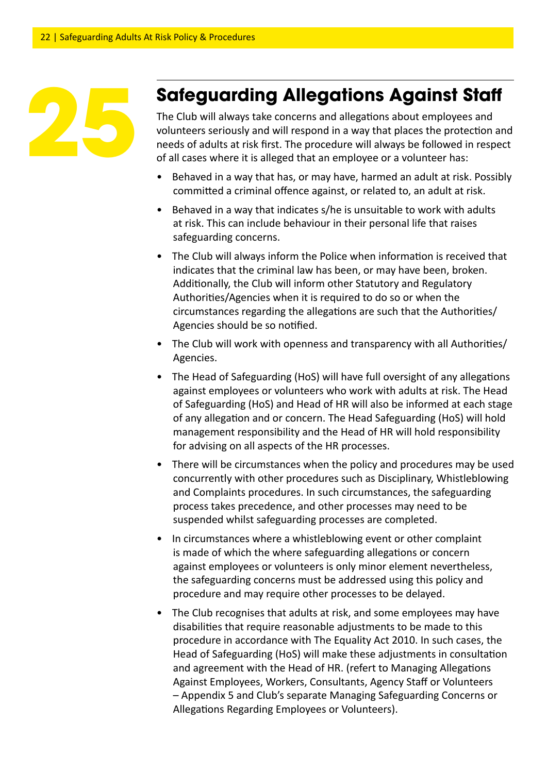

## **Safeguarding Allegations Against Staff**

The Club will always take concerns and allegations about employees and volunteers seriously and will respond in a way that places the protection and needs of adults at risk first. The procedure will always be followed in respect of all cases where it is alleged that an employee or a volunteer has:

- Behaved in a way that has, or may have, harmed an adult at risk. Possibly committed a criminal offence against, or related to, an adult at risk.
- Behaved in a way that indicates s/he is unsuitable to work with adults at risk. This can include behaviour in their personal life that raises safeguarding concerns.
- The Club will always inform the Police when information is received that indicates that the criminal law has been, or may have been, broken. Additionally, the Club will inform other Statutory and Regulatory Authorities/Agencies when it is required to do so or when the circumstances regarding the allegations are such that the Authorities/ Agencies should be so notified.
- The Club will work with openness and transparency with all Authorities/ Agencies.
- The Head of Safeguarding (HoS) will have full oversight of any allegations against employees or volunteers who work with adults at risk. The Head of Safeguarding (HoS) and Head of HR will also be informed at each stage of any allegation and or concern. The Head Safeguarding (HoS) will hold management responsibility and the Head of HR will hold responsibility for advising on all aspects of the HR processes.
- There will be circumstances when the policy and procedures may be used concurrently with other procedures such as Disciplinary, Whistleblowing and Complaints procedures. In such circumstances, the safeguarding process takes precedence, and other processes may need to be suspended whilst safeguarding processes are completed.
- In circumstances where a whistleblowing event or other complaint is made of which the where safeguarding allegations or concern against employees or volunteers is only minor element nevertheless, the safeguarding concerns must be addressed using this policy and procedure and may require other processes to be delayed.
- The Club recognises that adults at risk, and some employees may have disabilities that require reasonable adjustments to be made to this procedure in accordance with The Equality Act 2010. In such cases, the Head of Safeguarding (HoS) will make these adjustments in consultation and agreement with the Head of HR. (refert to Managing Allegations Against Employees, Workers, Consultants, Agency Staff or Volunteers – Appendix 5 and Club's separate Managing Safeguarding Concerns or Allegations Regarding Employees or Volunteers).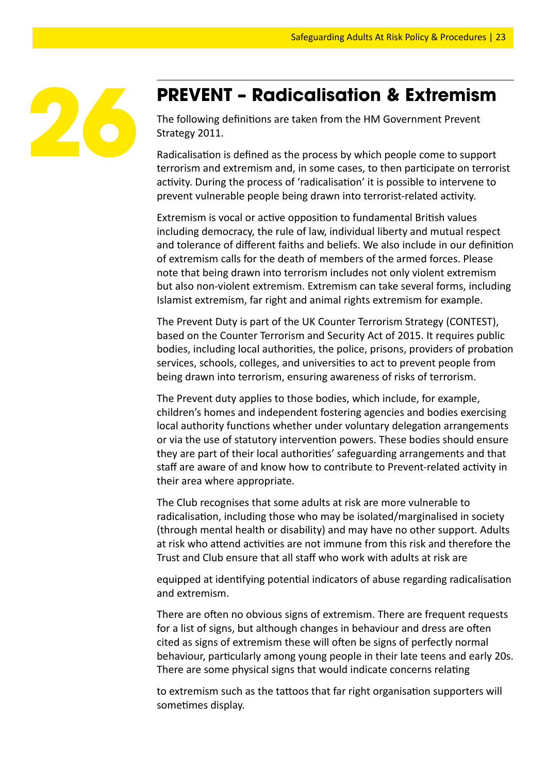

#### **PREVENT – Radicalisation & Extremism**

The following definitions are taken from the HM Government Prevent Strategy 2011.

Radicalisation is defined as the process by which people come to support terrorism and extremism and, in some cases, to then participate on terrorist activity. During the process of 'radicalisation' it is possible to intervene to prevent vulnerable people being drawn into terrorist-related activity.

Extremism is vocal or active opposition to fundamental British values including democracy, the rule of law, individual liberty and mutual respect and tolerance of different faiths and beliefs. We also include in our definition of extremism calls for the death of members of the armed forces. Please note that being drawn into terrorism includes not only violent extremism but also non-violent extremism. Extremism can take several forms, including Islamist extremism, far right and animal rights extremism for example.

The Prevent Duty is part of the UK Counter Terrorism Strategy (CONTEST), based on the Counter Terrorism and Security Act of 2015. It requires public bodies, including local authorities, the police, prisons, providers of probation services, schools, colleges, and universities to act to prevent people from being drawn into terrorism, ensuring awareness of risks of terrorism.

The Prevent duty applies to those bodies, which include, for example, children's homes and independent fostering agencies and bodies exercising local authority functions whether under voluntary delegation arrangements or via the use of statutory intervention powers. These bodies should ensure they are part of their local authorities' safeguarding arrangements and that staff are aware of and know how to contribute to Prevent-related activity in their area where appropriate.

The Club recognises that some adults at risk are more vulnerable to radicalisation, including those who may be isolated/marginalised in society (through mental health or disability) and may have no other support. Adults at risk who attend activities are not immune from this risk and therefore the Trust and Club ensure that all staff who work with adults at risk are

equipped at identifying potential indicators of abuse regarding radicalisation and extremism.

There are often no obvious signs of extremism. There are frequent requests for a list of signs, but although changes in behaviour and dress are often cited as signs of extremism these will often be signs of perfectly normal behaviour, particularly among young people in their late teens and early 20s. There are some physical signs that would indicate concerns relating

to extremism such as the tattoos that far right organisation supporters will sometimes display.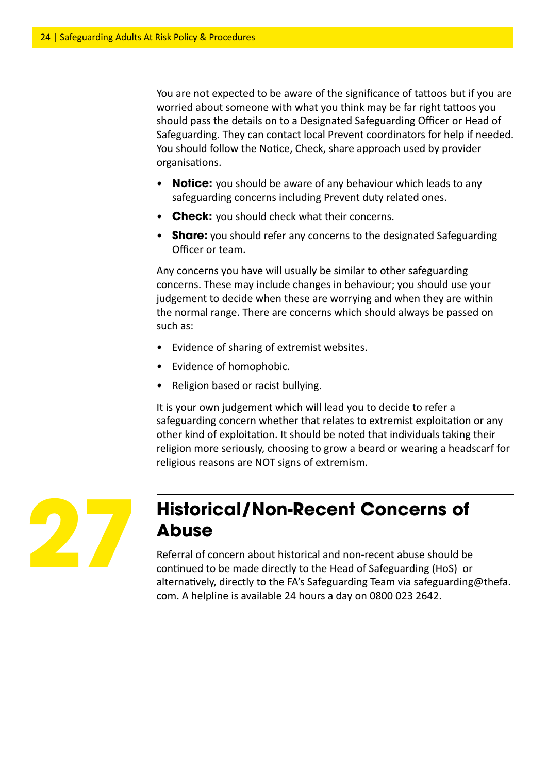You are not expected to be aware of the significance of tattoos but if you are worried about someone with what you think may be far right tattoos you should pass the details on to a Designated Safeguarding Officer or Head of Safeguarding. They can contact local Prevent coordinators for help if needed. You should follow the Notice, Check, share approach used by provider organisations.

- **Notice:** you should be aware of any behaviour which leads to any safeguarding concerns including Prevent duty related ones.
- **Check:** you should check what their concerns.
- **Share:** you should refer any concerns to the designated Safeguarding Officer or team.

Any concerns you have will usually be similar to other safeguarding concerns. These may include changes in behaviour; you should use your judgement to decide when these are worrying and when they are within the normal range. There are concerns which should always be passed on such as:

- Evidence of sharing of extremist websites.
- Evidence of homophobic.
- Religion based or racist bullying.

It is your own judgement which will lead you to decide to refer a safeguarding concern whether that relates to extremist exploitation or any other kind of exploitation. It should be noted that individuals taking their religion more seriously, choosing to grow a beard or wearing a headscarf for religious reasons are NOT signs of extremism.



## **Historical/Non-Recent Concerns of Abuse**

Referral of concern about historical and non-recent abuse should be continued to be made directly to the Head of Safeguarding (HoS) or alternatively, directly to the FA's Safeguarding Team via safeguarding@thefa. com. A helpline is available 24 hours a day on 0800 023 2642.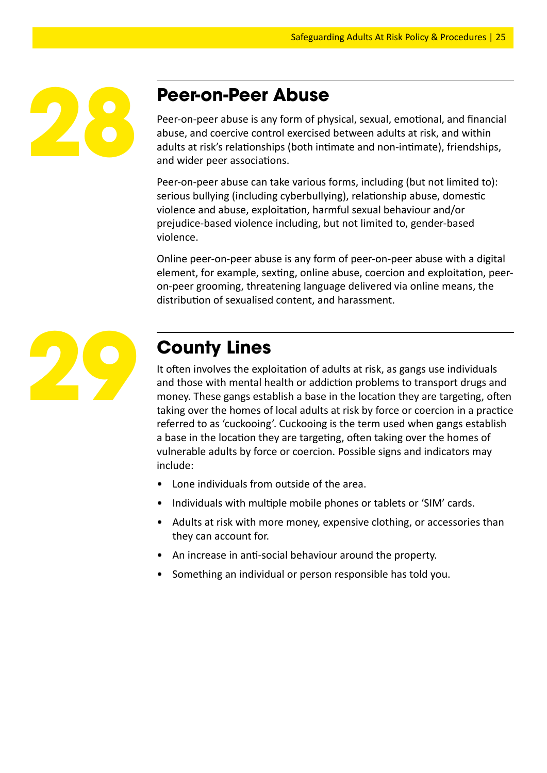

## **Peer-on-Peer Abuse**

Peer-on-peer abuse is any form of physical, sexual, emotional, and financial abuse, and coercive control exercised between adults at risk, and within adults at risk's relationships (both intimate and non-intimate), friendships, and wider peer associations.

Peer-on-peer abuse can take various forms, including (but not limited to): serious bullying (including cyberbullying), relationship abuse, domestic violence and abuse, exploitation, harmful sexual behaviour and/or prejudice-based violence including, but not limited to, gender-based violence.

Online peer-on-peer abuse is any form of peer-on-peer abuse with a digital element, for example, sexting, online abuse, coercion and exploitation, peeron-peer grooming, threatening language delivered via online means, the distribution of sexualised content, and harassment.



## **County Lines**

It often involves the exploitation of adults at risk, as gangs use individuals and those with mental health or addiction problems to transport drugs and money. These gangs establish a base in the location they are targeting, often taking over the homes of local adults at risk by force or coercion in a practice referred to as 'cuckooing'. Cuckooing is the term used when gangs establish a base in the location they are targeting, often taking over the homes of vulnerable adults by force or coercion. Possible signs and indicators may include:

- Lone individuals from outside of the area.
- Individuals with multiple mobile phones or tablets or 'SIM' cards.
- Adults at risk with more money, expensive clothing, or accessories than they can account for.
- An increase in anti-social behaviour around the property.
- Something an individual or person responsible has told you.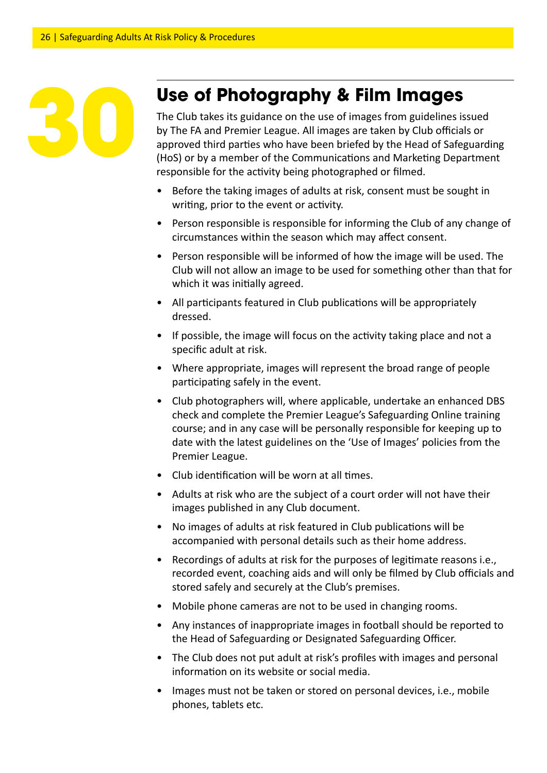## **Use of Photography & Film Images**

The Club takes its guidance on the use of images from guidelines issued by The FA and Premier League. All images are taken by Club officials or approved third parties who have been briefed by the Head of Safeguarding (HoS) or by a member of the Communications and Marketing Department responsible for the activity being photographed or filmed.

- Before the taking images of adults at risk, consent must be sought in writing, prior to the event or activity.
- Person responsible is responsible for informing the Club of any change of circumstances within the season which may affect consent.
- Person responsible will be informed of how the image will be used. The Club will not allow an image to be used for something other than that for which it was initially agreed.
- All participants featured in Club publications will be appropriately dressed.
- If possible, the image will focus on the activity taking place and not a specific adult at risk.
- Where appropriate, images will represent the broad range of people participating safely in the event.
- Club photographers will, where applicable, undertake an enhanced DBS check and complete the Premier League's Safeguarding Online training course; and in any case will be personally responsible for keeping up to date with the latest guidelines on the 'Use of Images' policies from the Premier League.
- Club identification will be worn at all times.
- Adults at risk who are the subject of a court order will not have their images published in any Club document.
- No images of adults at risk featured in Club publications will be accompanied with personal details such as their home address.
- Recordings of adults at risk for the purposes of legitimate reasons i.e., recorded event, coaching aids and will only be filmed by Club officials and stored safely and securely at the Club's premises.
- Mobile phone cameras are not to be used in changing rooms.
- Any instances of inappropriate images in football should be reported to the Head of Safeguarding or Designated Safeguarding Officer.
- The Club does not put adult at risk's profiles with images and personal information on its website or social media.
- Images must not be taken or stored on personal devices, i.e., mobile phones, tablets etc.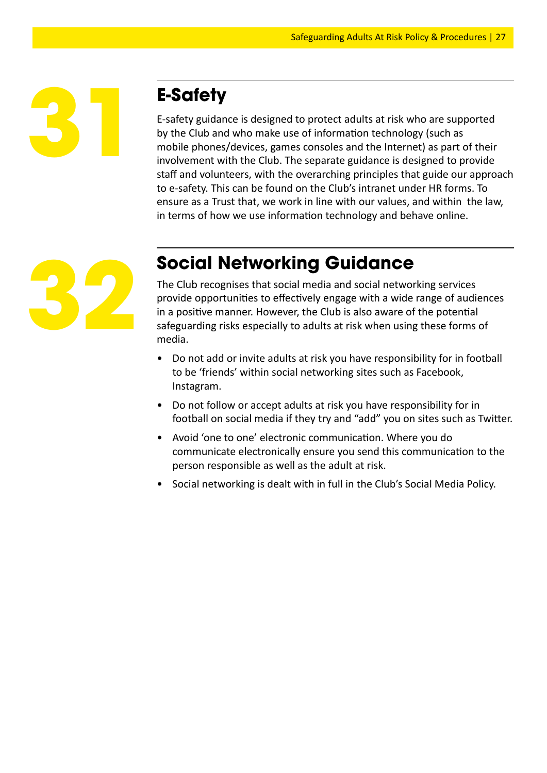

## **E-Safety**

E-safety guidance is designed to protect adults at risk who are supported by the Club and who make use of information technology (such as mobile phones/devices, games consoles and the Internet) as part of their involvement with the Club. The separate guidance is designed to provide staff and volunteers, with the overarching principles that guide our approach to e-safety. This can be found on the Club's intranet under HR forms. To ensure as a Trust that, we work in line with our values, and within the law, in terms of how we use information technology and behave online.



## **Social Networking Guidance**

The Club recognises that social media and social networking services provide opportunities to effectively engage with a wide range of audiences in a positive manner. However, the Club is also aware of the potential safeguarding risks especially to adults at risk when using these forms of media.

- Do not add or invite adults at risk you have responsibility for in football to be 'friends' within social networking sites such as Facebook, Instagram.
- Do not follow or accept adults at risk you have responsibility for in football on social media if they try and "add" you on sites such as Twitter.
- Avoid 'one to one' electronic communication. Where you do communicate electronically ensure you send this communication to the person responsible as well as the adult at risk.
- Social networking is dealt with in full in the Club's Social Media Policy.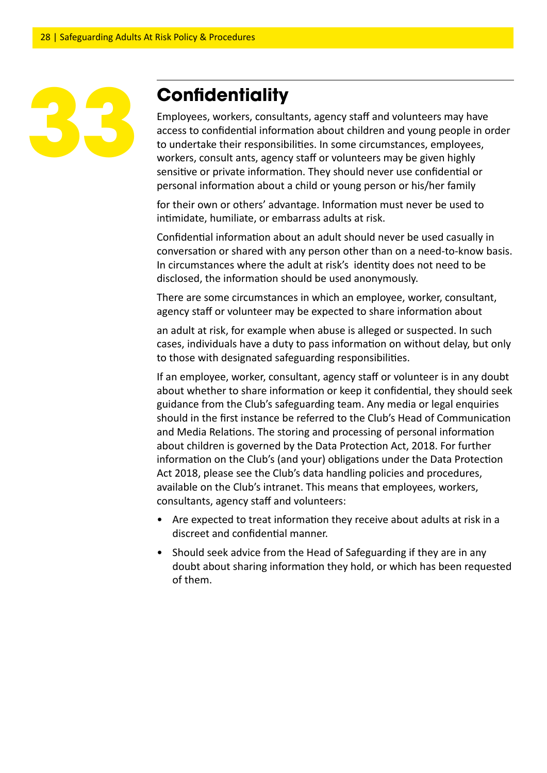## **Confidentiality**

Employees, workers, consultants, agency staff and volunteers may have access to confidential information about children and young people in order to undertake their responsibilities. In some circumstances, employees, workers, consult ants, agency staff or volunteers may be given highly sensitive or private information. They should never use confidential or personal information about a child or young person or his/her family

for their own or others' advantage. Information must never be used to intimidate, humiliate, or embarrass adults at risk.

Confidential information about an adult should never be used casually in conversation or shared with any person other than on a need-to-know basis. In circumstances where the adult at risk's identity does not need to be disclosed, the information should be used anonymously.

There are some circumstances in which an employee, worker, consultant, agency staff or volunteer may be expected to share information about

an adult at risk, for example when abuse is alleged or suspected. In such cases, individuals have a duty to pass information on without delay, but only to those with designated safeguarding responsibilities.

If an employee, worker, consultant, agency staff or volunteer is in any doubt about whether to share information or keep it confidential, they should seek guidance from the Club's safeguarding team. Any media or legal enquiries should in the first instance be referred to the Club's Head of Communication and Media Relations. The storing and processing of personal information about children is governed by the Data Protection Act, 2018. For further information on the Club's (and your) obligations under the Data Protection Act 2018, please see the Club's data handling policies and procedures, available on the Club's intranet. This means that employees, workers, consultants, agency staff and volunteers:

- Are expected to treat information they receive about adults at risk in a discreet and confidential manner.
- Should seek advice from the Head of Safeguarding if they are in any doubt about sharing information they hold, or which has been requested of them.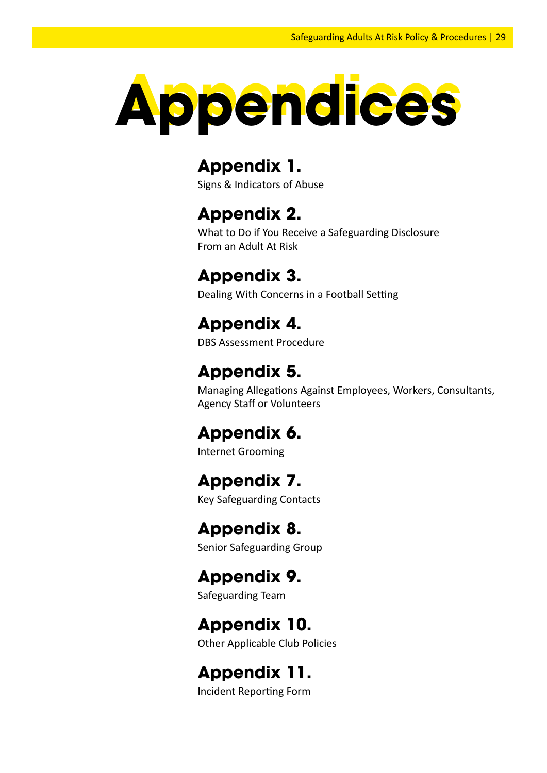

## **Appendix 1.**

Signs & Indicators of Abuse

## **Appendix 2.**

What to Do if You Receive a Safeguarding Disclosure From an Adult At Risk

## **Appendix 3.**

Dealing With Concerns in a Football Setting

## **Appendix 4.**

DBS Assessment Procedure

## **Appendix 5.**

Managing Allegations Against Employees, Workers, Consultants, Agency Staff or Volunteers

## **Appendix 6.**

Internet Grooming

## **Appendix 7.**

Key Safeguarding Contacts

## **Appendix 8.**

Senior Safeguarding Group

## **Appendix 9.**

Safeguarding Team

## **Appendix 10.**

Other Applicable Club Policies

## **Appendix 11.**

Incident Reporting Form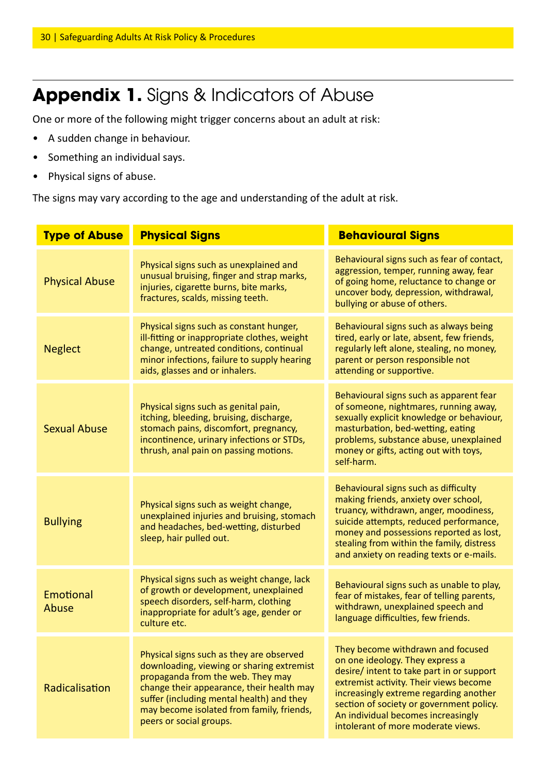## Appendix 1. Signs & Indicators of Abuse

One or more of the following might trigger concerns about an adult at risk:

- A sudden change in behaviour.
- Something an individual says.
- Physical signs of abuse.

The signs may vary according to the age and understanding of the adult at risk.

| <b>Type of Abuse</b>  | <b>Physical Signs</b>                                                                                                                                                                                                                                                                        | <b>Behavioural Signs</b>                                                                                                                                                                                                                                                                                                      |  |
|-----------------------|----------------------------------------------------------------------------------------------------------------------------------------------------------------------------------------------------------------------------------------------------------------------------------------------|-------------------------------------------------------------------------------------------------------------------------------------------------------------------------------------------------------------------------------------------------------------------------------------------------------------------------------|--|
| <b>Physical Abuse</b> | Physical signs such as unexplained and<br>unusual bruising, finger and strap marks,<br>injuries, cigarette burns, bite marks,<br>fractures, scalds, missing teeth.                                                                                                                           | Behavioural signs such as fear of contact,<br>aggression, temper, running away, fear<br>of going home, reluctance to change or<br>uncover body, depression, withdrawal,<br>bullying or abuse of others.                                                                                                                       |  |
| <b>Neglect</b>        | Physical signs such as constant hunger,<br>ill-fitting or inappropriate clothes, weight<br>change, untreated conditions, continual<br>minor infections, failure to supply hearing<br>aids, glasses and or inhalers.                                                                          | Behavioural signs such as always being<br>tired, early or late, absent, few friends,<br>regularly left alone, stealing, no money,<br>parent or person responsible not<br>attending or supportive.                                                                                                                             |  |
| <b>Sexual Abuse</b>   | Physical signs such as genital pain,<br>itching, bleeding, bruising, discharge,<br>stomach pains, discomfort, pregnancy,<br>incontinence, urinary infections or STDs,<br>thrush, anal pain on passing motions.                                                                               | Behavioural signs such as apparent fear<br>of someone, nightmares, running away,<br>sexually explicit knowledge or behaviour,<br>masturbation, bed-wetting, eating<br>problems, substance abuse, unexplained<br>money or gifts, acting out with toys,<br>self-harm.                                                           |  |
| <b>Bullying</b>       | Physical signs such as weight change,<br>unexplained injuries and bruising, stomach<br>and headaches, bed-wetting, disturbed<br>sleep, hair pulled out.                                                                                                                                      | Behavioural signs such as difficulty<br>making friends, anxiety over school,<br>truancy, withdrawn, anger, moodiness,<br>suicide attempts, reduced performance,<br>money and possessions reported as lost,<br>stealing from within the family, distress<br>and anxiety on reading texts or e-mails.                           |  |
| Emotional<br>Abuse    | Physical signs such as weight change, lack<br>of growth or development, unexplained<br>speech disorders, self-harm, clothing<br>inappropriate for adult's age, gender or<br>culture etc.                                                                                                     | Behavioural signs such as unable to play,<br>fear of mistakes, fear of telling parents,<br>withdrawn, unexplained speech and<br>language difficulties, few friends.                                                                                                                                                           |  |
| Radicalisation        | Physical signs such as they are observed<br>downloading, viewing or sharing extremist<br>propaganda from the web. They may<br>change their appearance, their health may<br>suffer (including mental health) and they<br>may become isolated from family, friends,<br>peers or social groups. | They become withdrawn and focused<br>on one ideology. They express a<br>desire/ intent to take part in or support<br>extremist activity. Their views become<br>increasingly extreme regarding another<br>section of society or government policy.<br>An individual becomes increasingly<br>intolerant of more moderate views. |  |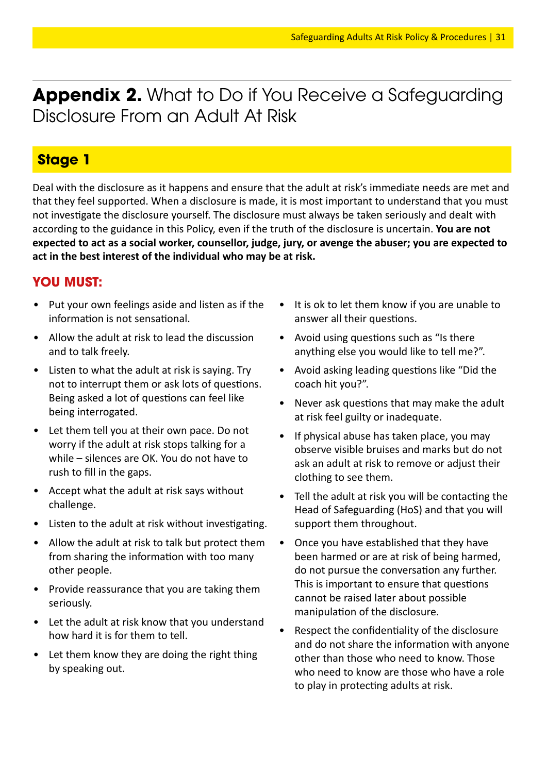**Appendix 2.** What to Do if You Receive a Safeguarding Disclosure From an Adult At Risk

#### **Stage 1**

Deal with the disclosure as it happens and ensure that the adult at risk's immediate needs are met and that they feel supported. When a disclosure is made, it is most important to understand that you must not investigate the disclosure yourself. The disclosure must always be taken seriously and dealt with according to the guidance in this Policy, even if the truth of the disclosure is uncertain. **You are not expected to act as a social worker, counsellor, judge, jury, or avenge the abuser; you are expected to act in the best interest of the individual who may be at risk.**

#### **YOU MUST:**

- Put your own feelings aside and listen as if the information is not sensational.
- Allow the adult at risk to lead the discussion and to talk freely.
- Listen to what the adult at risk is saying. Try not to interrupt them or ask lots of questions. Being asked a lot of questions can feel like being interrogated.
- Let them tell you at their own pace. Do not worry if the adult at risk stops talking for a while – silences are OK. You do not have to rush to fill in the gaps.
- Accept what the adult at risk says without challenge.
- Listen to the adult at risk without investigating.
- Allow the adult at risk to talk but protect them from sharing the information with too many other people.
- Provide reassurance that you are taking them seriously.
- Let the adult at risk know that you understand how hard it is for them to tell.
- Let them know they are doing the right thing by speaking out.
- It is ok to let them know if you are unable to answer all their questions.
- Avoid using questions such as "Is there anything else you would like to tell me?".
- Avoid asking leading questions like "Did the coach hit you?".
- Never ask questions that may make the adult at risk feel guilty or inadequate.
- If physical abuse has taken place, you may observe visible bruises and marks but do not ask an adult at risk to remove or adjust their clothing to see them.
- Tell the adult at risk you will be contacting the Head of Safeguarding (HoS) and that you will support them throughout.
- Once you have established that they have been harmed or are at risk of being harmed, do not pursue the conversation any further. This is important to ensure that questions cannot be raised later about possible manipulation of the disclosure.
- Respect the confidentiality of the disclosure and do not share the information with anyone other than those who need to know. Those who need to know are those who have a role to play in protecting adults at risk.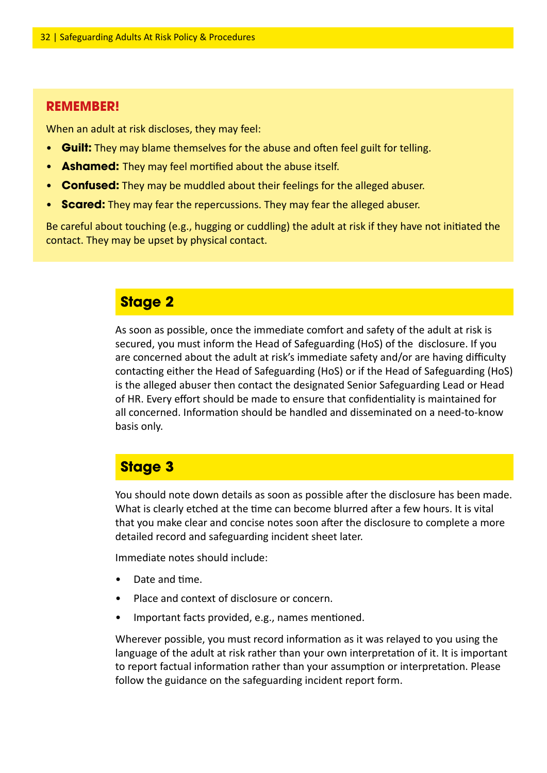#### **REMEMBER!**

When an adult at risk discloses, they may feel:

- **Guilt:** They may blame themselves for the abuse and often feel guilt for telling.
- **Ashamed:** They may feel mortified about the abuse itself.
- **Confused:** They may be muddled about their feelings for the alleged abuser.
- **Scared:** They may fear the repercussions. They may fear the alleged abuser.

Be careful about touching (e.g., hugging or cuddling) the adult at risk if they have not initiated the contact. They may be upset by physical contact.

#### **Stage 2**

As soon as possible, once the immediate comfort and safety of the adult at risk is secured, you must inform the Head of Safeguarding (HoS) of the disclosure. If you are concerned about the adult at risk's immediate safety and/or are having difficulty contacting either the Head of Safeguarding (HoS) or if the Head of Safeguarding (HoS) is the alleged abuser then contact the designated Senior Safeguarding Lead or Head of HR. Every effort should be made to ensure that confidentiality is maintained for all concerned. Information should be handled and disseminated on a need-to-know basis only.

#### **Stage 3**

You should note down details as soon as possible after the disclosure has been made. What is clearly etched at the time can become blurred after a few hours. It is vital that you make clear and concise notes soon after the disclosure to complete a more detailed record and safeguarding incident sheet later.

Immediate notes should include:

- Date and time.
- Place and context of disclosure or concern.
- Important facts provided, e.g., names mentioned.

Wherever possible, you must record information as it was relayed to you using the language of the adult at risk rather than your own interpretation of it. It is important to report factual information rather than your assumption or interpretation. Please follow the guidance on the safeguarding incident report form.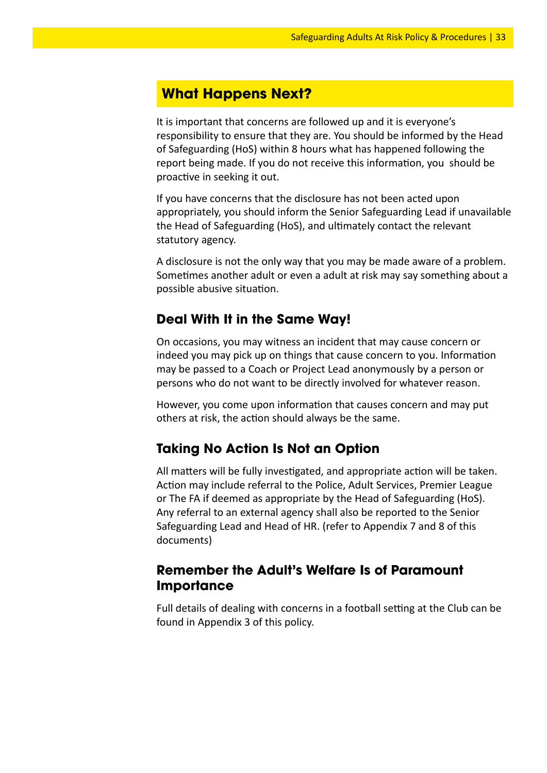#### **What Happens Next?**

It is important that concerns are followed up and it is everyone's responsibility to ensure that they are. You should be informed by the Head of Safeguarding (HoS) within 8 hours what has happened following the report being made. If you do not receive this information, you should be proactive in seeking it out.

If you have concerns that the disclosure has not been acted upon appropriately, you should inform the Senior Safeguarding Lead if unavailable the Head of Safeguarding (HoS), and ultimately contact the relevant statutory agency.

A disclosure is not the only way that you may be made aware of a problem. Sometimes another adult or even a adult at risk may say something about a possible abusive situation.

#### **Deal With It in the Same Way!**

On occasions, you may witness an incident that may cause concern or indeed you may pick up on things that cause concern to you. Information may be passed to a Coach or Project Lead anonymously by a person or persons who do not want to be directly involved for whatever reason.

However, you come upon information that causes concern and may put others at risk, the action should always be the same.

#### **Taking No Action Is Not an Option**

All matters will be fully investigated, and appropriate action will be taken. Action may include referral to the Police, Adult Services, Premier League or The FA if deemed as appropriate by the Head of Safeguarding (HoS). Any referral to an external agency shall also be reported to the Senior Safeguarding Lead and Head of HR. (refer to Appendix 7 and 8 of this documents)

#### **Remember the Adult's Welfare Is of Paramount Importance**

Full details of dealing with concerns in a football setting at the Club can be found in Appendix 3 of this policy.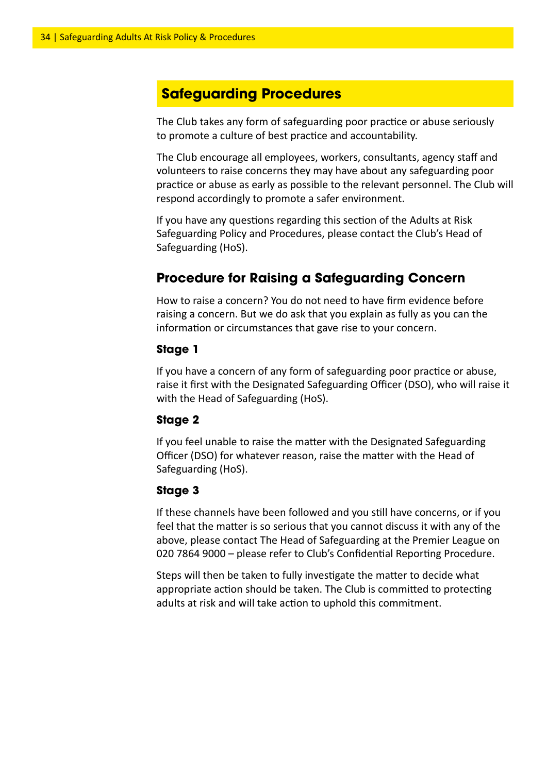#### **Safeguarding Procedures**

The Club takes any form of safeguarding poor practice or abuse seriously to promote a culture of best practice and accountability.

The Club encourage all employees, workers, consultants, agency staff and volunteers to raise concerns they may have about any safeguarding poor practice or abuse as early as possible to the relevant personnel. The Club will respond accordingly to promote a safer environment.

If you have any questions regarding this section of the Adults at Risk Safeguarding Policy and Procedures, please contact the Club's Head of Safeguarding (HoS).

#### **Procedure for Raising a Safeguarding Concern**

How to raise a concern? You do not need to have firm evidence before raising a concern. But we do ask that you explain as fully as you can the information or circumstances that gave rise to your concern.

#### **Stage 1**

If you have a concern of any form of safeguarding poor practice or abuse, raise it first with the Designated Safeguarding Officer (DSO), who will raise it with the Head of Safeguarding (HoS).

#### **Stage 2**

If you feel unable to raise the matter with the Designated Safeguarding Officer (DSO) for whatever reason, raise the matter with the Head of Safeguarding (HoS).

#### **Stage 3**

If these channels have been followed and you still have concerns, or if you feel that the matter is so serious that you cannot discuss it with any of the above, please contact The Head of Safeguarding at the Premier League on 020 7864 9000 – please refer to Club's Confidential Reporting Procedure.

Steps will then be taken to fully investigate the matter to decide what appropriate action should be taken. The Club is committed to protecting adults at risk and will take action to uphold this commitment.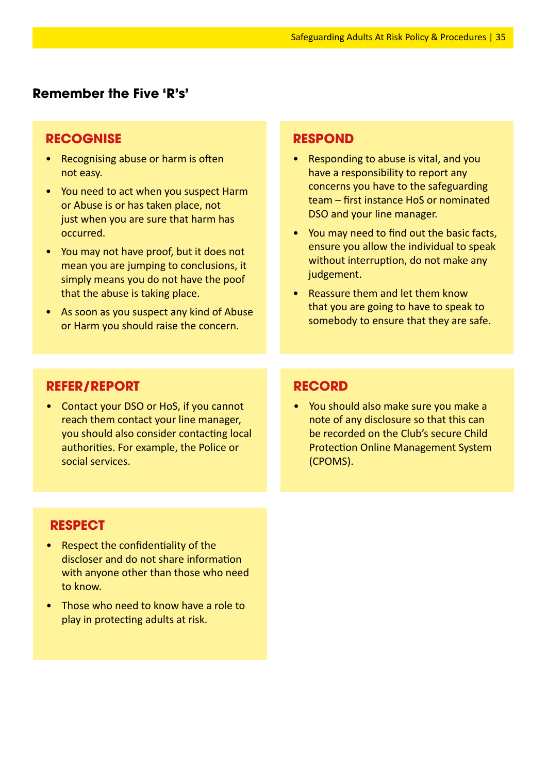#### **Remember the Five 'R's'**

#### **RECOGNISE**

- Recognising abuse or harm is often not easy.
- You need to act when you suspect Harm or Abuse is or has taken place, not just when you are sure that harm has occurred.
- You may not have proof, but it does not mean you are jumping to conclusions, it simply means you do not have the poof that the abuse is taking place.
- As soon as you suspect any kind of Abuse or Harm you should raise the concern.

#### **RESPOND**

- Responding to abuse is vital, and you have a responsibility to report any concerns you have to the safeguarding team – first instance HoS or nominated DSO and your line manager.
- You may need to find out the basic facts, ensure you allow the individual to speak without interruption, do not make any judgement.
- Reassure them and let them know that you are going to have to speak to somebody to ensure that they are safe.

#### **REFER/REPORT**

• Contact your DSO or HoS, if you cannot reach them contact your line manager, you should also consider contacting local authorities. For example, the Police or social services.

#### **RECORD**

• You should also make sure you make a note of any disclosure so that this can be recorded on the Club's secure Child Protection Online Management System (CPOMS).

#### **RESPECT**

- Respect the confidentiality of the discloser and do not share information with anyone other than those who need to know.
- Those who need to know have a role to play in protecting adults at risk.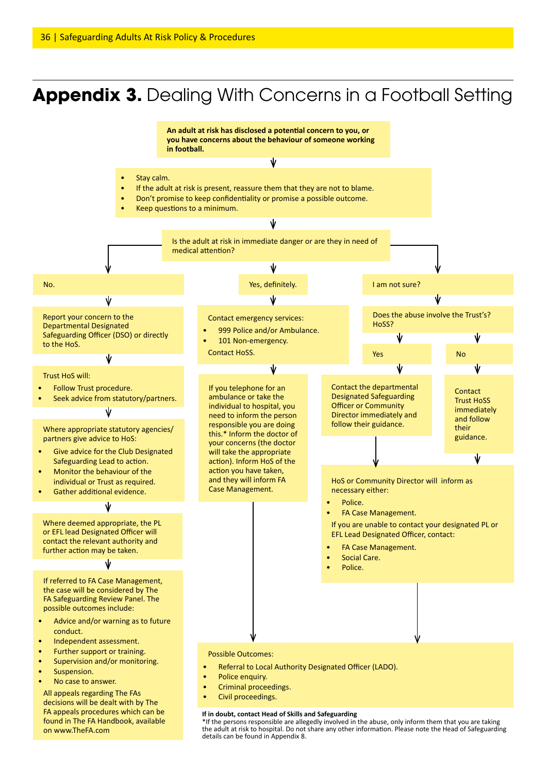## **Appendix 3.** Dealing With Concerns in a Football Setting

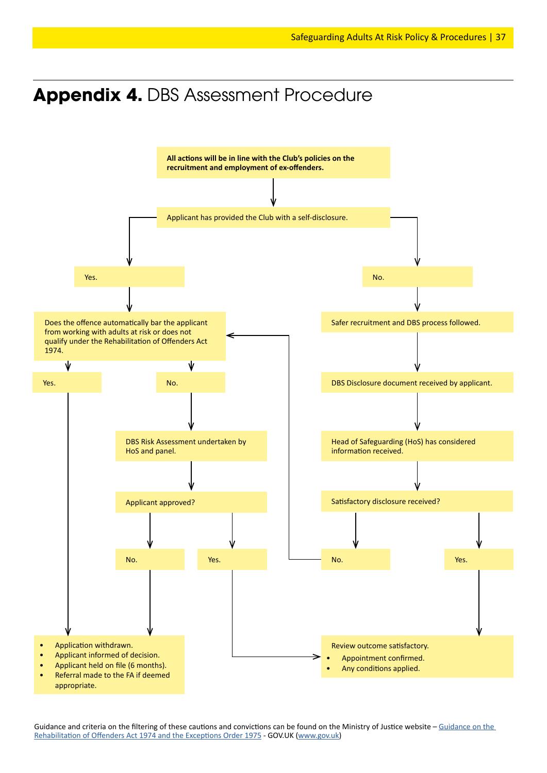### **Appendix 4.** DBS Assessment Procedure



Guidance and criteria on the filtering of these cautions and convictions can be found on the Ministry of Justice website – Guidance on the Rehabilitation of Offenders Act 1974 and the Exceptions Order 1975 - GOV.UK (www.gov.uk)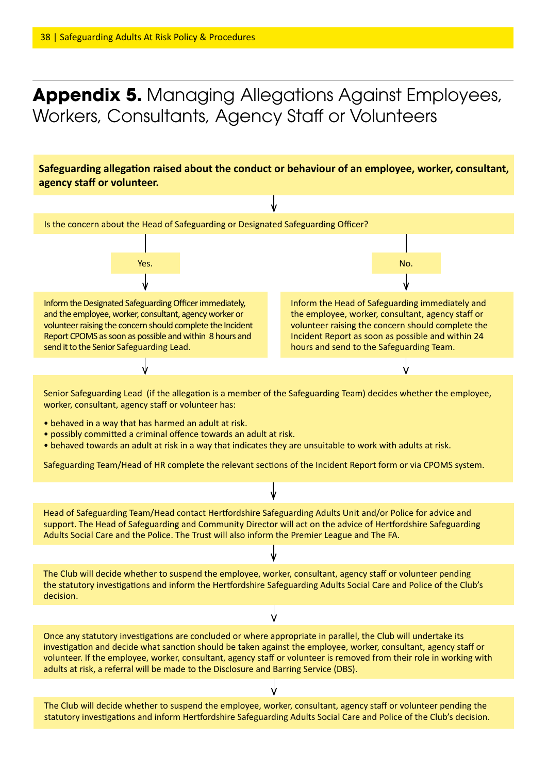## **Appendix 5.** Managing Allegations Against Employees, Workers, Consultants, Agency Staff or Volunteers

**Safeguarding allegation raised about the conduct or behaviour of an employee, worker, consultant, agency staff or volunteer.**

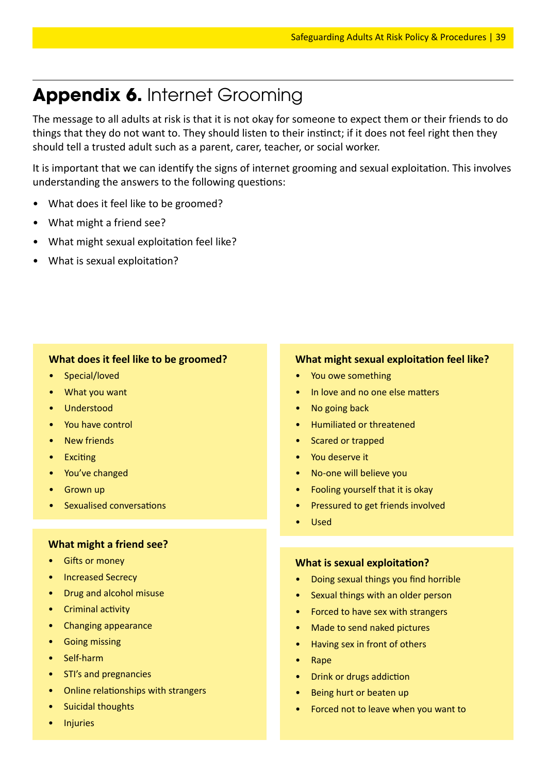## **Appendix 6.** Internet Grooming

The message to all adults at risk is that it is not okay for someone to expect them or their friends to do things that they do not want to. They should listen to their instinct; if it does not feel right then they should tell a trusted adult such as a parent, carer, teacher, or social worker.

It is important that we can identify the signs of internet grooming and sexual exploitation. This involves understanding the answers to the following questions:

- What does it feel like to be groomed?
- What might a friend see?
- What might sexual exploitation feel like?
- What is sexual exploitation?

#### **What does it feel like to be groomed?**

- Special/loved
- What you want
- Understood
- You have control
- **New friends**
- Exciting
- You've changed
- **Grown up**
- Sexualised conversations

#### **What might a friend see?**

- **Gifts or money**
- Increased Secrecy
- Drug and alcohol misuse
- Criminal activity
- Changing appearance
- Going missing
- Self-harm
- STI's and pregnancies
- Online relationships with strangers
- Suicidal thoughts
- **Injuries**

#### **What might sexual exploitation feel like?**

- You owe something
- In love and no one else matters
- No going back
- Humiliated or threatened
- Scared or trapped
- You deserve it
- No-one will believe you
- Fooling yourself that it is okay
- Pressured to get friends involved
- Used

#### **What is sexual exploitation?**

- Doing sexual things you find horrible
- Sexual things with an older person
- Forced to have sex with strangers
- Made to send naked pictures
- Having sex in front of others
- Rape
- Drink or drugs addiction
- Being hurt or beaten up
- Forced not to leave when you want to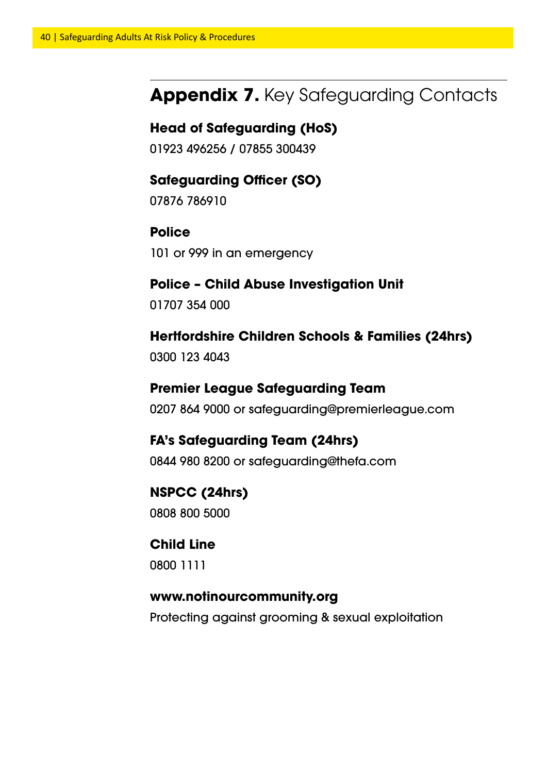## **Appendix 7.** Key Safeguarding Contacts

#### **Head of Safeguarding (HoS)**

01923 496256 / 07855 300439

#### **Safeguarding Officer (SO)**

07876 786910

#### **Police**

101 or 999 in an emergency

#### **Police – Child Abuse Investigation Unit**

01707 354 000

#### **Hertfordshire Children Schools & Families (24hrs)**

0300 123 4043

#### **Premier League Safeguarding Team**

0207 864 9000 or safeguarding@premierleague.com

#### **FA's Safeguarding Team (24hrs)**

0844 980 8200 or safeguarding@thefa.com

#### **NSPCC (24hrs)** 0808 800 5000

#### **Child Line**

0800 1111

#### **www.notinourcommunity.org**

Protecting against grooming & sexual exploitation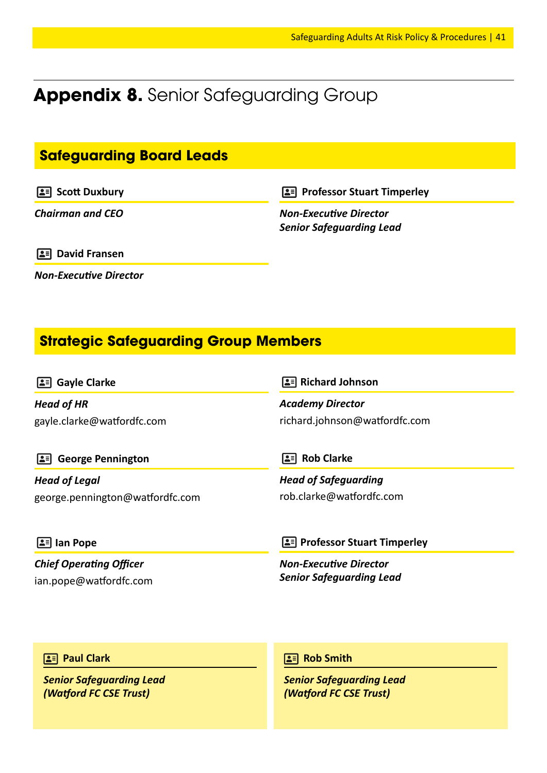## **Appendix 8.** Senior Safeguarding Group

#### **Safeguarding Board Leads**

**Scott Duxbury** 

*Chairman and CEO*

**Professor Stuart Timperley** 

*Non-Executive Director Senior Safeguarding Lead*

**David Fransen**

*Non-Executive Director*

#### **Strategic Safeguarding Group Members**

**Gayle Clarke**

*Head of HR* gayle.clarke@watfordfc.com  **Richard Johnson**

*Academy Director* richard.johnson@watfordfc.com

 **George Pennington**

*Head of Legal* george.pennington@watfordfc.com **Rob Clarke** 

*Head of Safeguarding* rob.clarke@watfordfc.com

 **Ian Pope**

*Chief Operating Officer* ian.pope@watfordfc.com *Non-Executive Director Senior Safeguarding Lead*

**2 Professor Stuart Timperley** 

**Paul Clark**

*Senior Safeguarding Lead (Watford FC CSE Trust)*

**Rob Smith**

*Senior Safeguarding Lead (Watford FC CSE Trust)*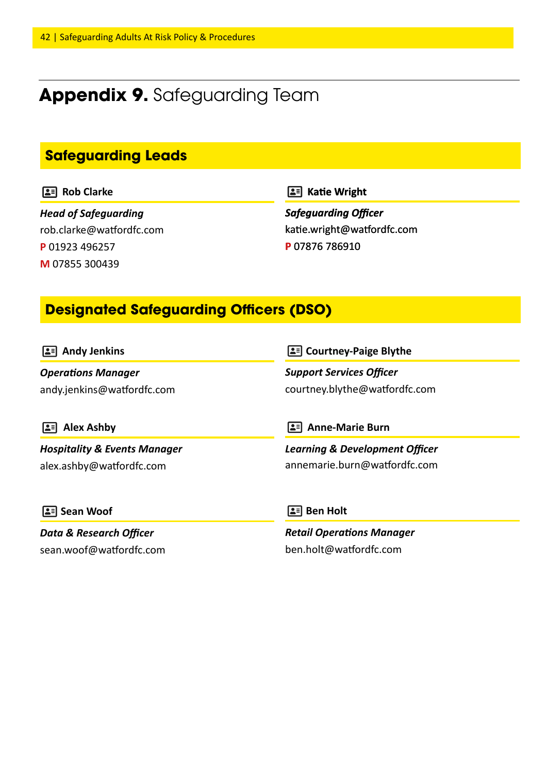## **Appendix 9.** Safeguarding Team

#### **Safeguarding Leads**

#### **Rob Clarke**

*Head of Safeguarding* rob.clarke@watfordfc.com **P** 01923 496257 **M** 07855 300439

**Katie Wright**

*Safeguarding Officer* katie.wright@watfordfc.com **P** 07876 786910

#### **Designated Safeguarding Officers (DSO)**

| $\boxed{2}$ Andy Jenkins                | <b>2 Courtney-Paige Blythe</b>            |  |
|-----------------------------------------|-------------------------------------------|--|
| <b>Operations Manager</b>               | <b>Support Services Officer</b>           |  |
| andy.jenkins@watfordfc.com              | courtney.blythe@watfordfc.com             |  |
| <b>Alex Ashby</b>                       | <b>Anne-Marie Burn</b>                    |  |
| ≗≡                                      | LE L                                      |  |
| <b>Hospitality &amp; Events Manager</b> | <b>Learning &amp; Development Officer</b> |  |
| alex.ashby@watfordfc.com                | annemarie.burn@watfordfc.com              |  |
| $\boxed{2}$ Sean Woof                   | $\boxed{2}$ Ben Holt                      |  |
| <b>Data &amp; Research Officer</b>      | <b>Retail Operations Manager</b>          |  |
| sean.woof@watfordfc.com                 | ben.holt@watfordfc.com                    |  |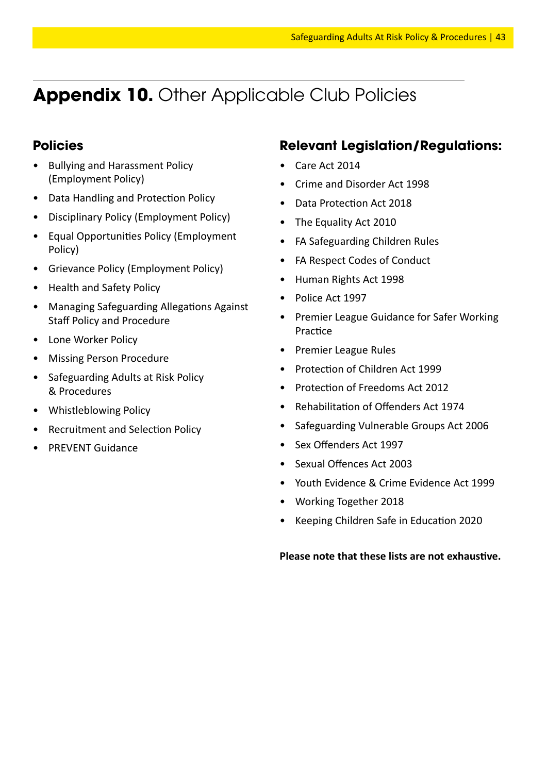## **Appendix 10.** Other Applicable Club Policies

#### **Policies**

- Bullying and Harassment Policy (Employment Policy)
- Data Handling and Protection Policy
- Disciplinary Policy (Employment Policy)
- Equal Opportunities Policy (Employment Policy)
- Grievance Policy (Employment Policy)
- Health and Safety Policy
- Managing Safeguarding Allegations Against Staff Policy and Procedure
- Lone Worker Policy
- Missing Person Procedure
- Safeguarding Adults at Risk Policy & Procedures
- Whistleblowing Policy
- Recruitment and Selection Policy
- PREVENT Guidance

#### **Relevant Legislation/Regulations:**

- Care Act 2014
- Crime and Disorder Act 1998
- Data Protection Act 2018
- The Equality Act 2010
- FA Safeguarding Children Rules
- FA Respect Codes of Conduct
- Human Rights Act 1998
- Police Act 1997
- Premier League Guidance for Safer Working Practice
- Premier League Rules
- Protection of Children Act 1999
- Protection of Freedoms Act 2012
- Rehabilitation of Offenders Act 1974
- Safeguarding Vulnerable Groups Act 2006
- Sex Offenders Act 1997
- Sexual Offences Act 2003
- Youth Evidence & Crime Evidence Act 1999
- Working Together 2018
- Keeping Children Safe in Education 2020

#### **Please note that these lists are not exhaustive.**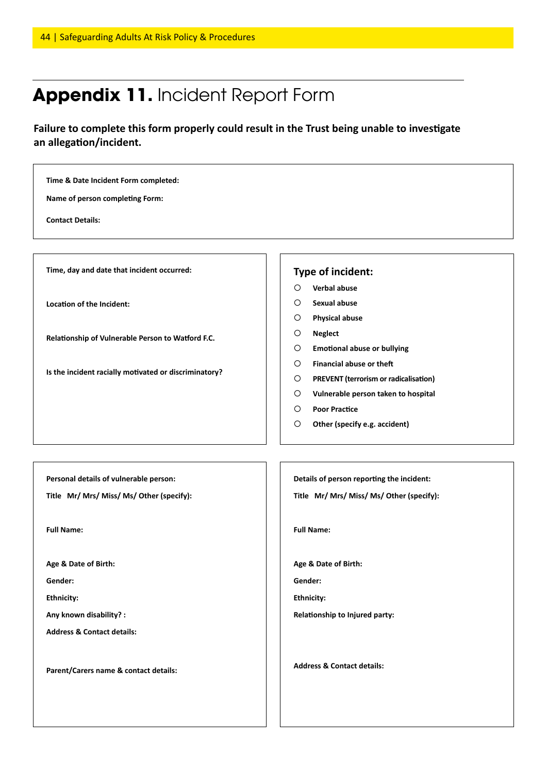## **Appendix 11.** Incident Report Form

**Failure to complete this form properly could result in the Trust being unable to investigate an allegation/incident.**

| Name of person completing Form:<br><b>Contact Details:</b>                          |                                                                                        |  |  |  |  |
|-------------------------------------------------------------------------------------|----------------------------------------------------------------------------------------|--|--|--|--|
| Time, day and date that incident occurred:                                          | Type of incident:                                                                      |  |  |  |  |
|                                                                                     | Verbal abuse<br>∩                                                                      |  |  |  |  |
| Location of the Incident:                                                           | <b>Sexual abuse</b><br>O                                                               |  |  |  |  |
|                                                                                     | $\circ$<br><b>Physical abuse</b>                                                       |  |  |  |  |
| Relationship of Vulnerable Person to Watford F.C.                                   | <b>Neglect</b><br>O                                                                    |  |  |  |  |
|                                                                                     | <b>Emotional abuse or bullying</b><br>$\circ$                                          |  |  |  |  |
|                                                                                     | <b>Financial abuse or theft</b><br>O                                                   |  |  |  |  |
| Is the incident racially motivated or discriminatory?                               | $\circ$<br>PREVENT (terrorism or radicalisation)                                       |  |  |  |  |
|                                                                                     | Vulnerable person taken to hospital<br>$\circ$                                         |  |  |  |  |
|                                                                                     | <b>Poor Practice</b><br>$\circ$                                                        |  |  |  |  |
|                                                                                     | $\circ$<br>Other (specify e.g. accident)                                               |  |  |  |  |
| Personal details of vulnerable person:<br>Title Mr/ Mrs/ Miss/ Ms/ Other (specify): | Details of person reporting the incident:<br>Title Mr/ Mrs/ Miss/ Ms/ Other (specify): |  |  |  |  |
| <b>Full Name:</b>                                                                   | <b>Full Name:</b>                                                                      |  |  |  |  |
| Age & Date of Birth:                                                                | Age & Date of Birth:                                                                   |  |  |  |  |
| Gender:                                                                             | Gender:                                                                                |  |  |  |  |
| <b>Ethnicity:</b>                                                                   | <b>Ethnicity:</b>                                                                      |  |  |  |  |
| Any known disability? :                                                             | Relationship to Injured party:                                                         |  |  |  |  |
| <b>Address &amp; Contact details:</b>                                               |                                                                                        |  |  |  |  |
|                                                                                     |                                                                                        |  |  |  |  |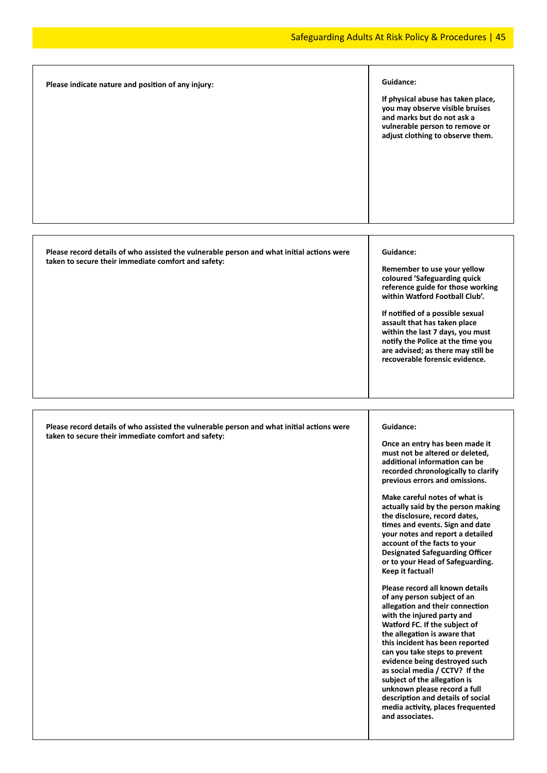| Please indicate nature and position of any injury:                                                                                               | Guidance:<br>If physical abuse has taken place,<br>you may observe visible bruises<br>and marks but do not ask a<br>vulnerable person to remove or<br>adjust clothing to observe them.                                                                                                                                                                                                                                                                                                                                                                                                                                                                                                                                                                                                                                                                                                                                                                                                                            |
|--------------------------------------------------------------------------------------------------------------------------------------------------|-------------------------------------------------------------------------------------------------------------------------------------------------------------------------------------------------------------------------------------------------------------------------------------------------------------------------------------------------------------------------------------------------------------------------------------------------------------------------------------------------------------------------------------------------------------------------------------------------------------------------------------------------------------------------------------------------------------------------------------------------------------------------------------------------------------------------------------------------------------------------------------------------------------------------------------------------------------------------------------------------------------------|
| Please record details of who assisted the vulnerable person and what initial actions were<br>taken to secure their immediate comfort and safety: | Guidance:<br>Remember to use your yellow<br>coloured 'Safeguarding quick<br>reference guide for those working<br>within Watford Football Club'.<br>If notified of a possible sexual<br>assault that has taken place<br>within the last 7 days, you must<br>notify the Police at the time you<br>are advised; as there may still be<br>recoverable forensic evidence.                                                                                                                                                                                                                                                                                                                                                                                                                                                                                                                                                                                                                                              |
| Please record details of who assisted the vulnerable person and what initial actions were<br>taken to secure their immediate comfort and safety: | Guidance:<br>Once an entry has been made it<br>must not be altered or deleted,<br>additional information can be<br>recorded chronologically to clarify<br>previous errors and omissions.<br>Make careful notes of what is<br>actually said by the person making<br>the disclosure, record dates,<br>times and events. Sign and date<br>your notes and report a detailed<br>account of the facts to your<br><b>Designated Safeguarding Officer</b><br>or to your Head of Safeguarding.<br>Keep it factual!<br>Please record all known details<br>of any person subject of an<br>allegation and their connection<br>with the injured party and<br>Watford FC. If the subject of<br>the allegation is aware that<br>this incident has been reported<br>can you take steps to prevent<br>evidence being destroyed such<br>as social media / CCTV? If the<br>subject of the allegation is<br>unknown please record a full<br>description and details of social<br>media activity, places frequented<br>and associates. |